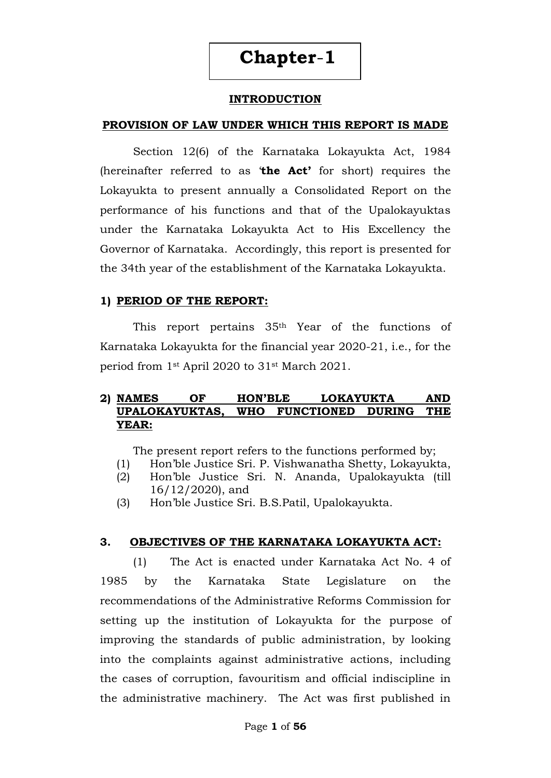# **Chapter**-**1**

#### **INTRODUCTION**

#### **PROVISION OF LAW UNDER WHICH THIS REPORT IS MADE**

Section 12(6) of the Karnataka Lokayukta Act, 1984 (hereinafter referred to as "**the Act'** for short) requires the Lokayukta to present annually a Consolidated Report on the performance of his functions and that of the Upalokayuktas under the Karnataka Lokayukta Act to His Excellency the Governor of Karnataka. Accordingly, this report is presented for the 34th year of the establishment of the Karnataka Lokayukta.

#### **1) PERIOD OF THE REPORT:**

This report pertains 35th Year of the functions of Karnataka Lokayukta for the financial year 2020-21, i.e., for the period from 1st April 2020 to 31st March 2021.

#### **2) NAMES OF HON'BLE LOKAYUKTA AND UPALOKAYUKTAS, WHO FUNCTIONED DURING THE YEAR:**

The present report refers to the functions performed by;

- (1) Hon"ble Justice Sri. P. Vishwanatha Shetty, Lokayukta,
- (2) Hon"ble Justice Sri. N. Ananda, Upalokayukta (till 16/12/2020), and
- (3) Hon"ble Justice Sri. B.S.Patil, Upalokayukta.

#### **3. OBJECTIVES OF THE KARNATAKA LOKAYUKTA ACT:**

(1) The Act is enacted under Karnataka Act No. 4 of 1985 by the Karnataka State Legislature on the recommendations of the Administrative Reforms Commission for setting up the institution of Lokayukta for the purpose of improving the standards of public administration, by looking into the complaints against administrative actions, including the cases of corruption, favouritism and official indiscipline in the administrative machinery. The Act was first published in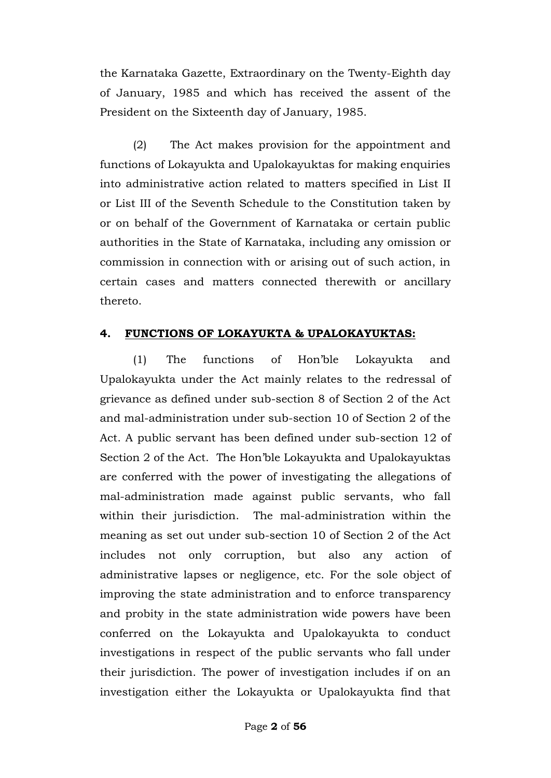the Karnataka Gazette, Extraordinary on the Twenty-Eighth day of January, 1985 and which has received the assent of the President on the Sixteenth day of January, 1985.

(2) The Act makes provision for the appointment and functions of Lokayukta and Upalokayuktas for making enquiries into administrative action related to matters specified in List II or List III of the Seventh Schedule to the Constitution taken by or on behalf of the Government of Karnataka or certain public authorities in the State of Karnataka, including any omission or commission in connection with or arising out of such action, in certain cases and matters connected therewith or ancillary thereto.

#### **4. FUNCTIONS OF LOKAYUKTA & UPALOKAYUKTAS:**

(1) The functions of Hon"ble Lokayukta and Upalokayukta under the Act mainly relates to the redressal of grievance as defined under sub-section 8 of Section 2 of the Act and mal-administration under sub-section 10 of Section 2 of the Act. A public servant has been defined under sub-section 12 of Section 2 of the Act. The Hon"ble Lokayukta and Upalokayuktas are conferred with the power of investigating the allegations of mal-administration made against public servants, who fall within their jurisdiction. The mal-administration within the meaning as set out under sub-section 10 of Section 2 of the Act includes not only corruption, but also any action of administrative lapses or negligence, etc. For the sole object of improving the state administration and to enforce transparency and probity in the state administration wide powers have been conferred on the Lokayukta and Upalokayukta to conduct investigations in respect of the public servants who fall under their jurisdiction. The power of investigation includes if on an investigation either the Lokayukta or Upalokayukta find that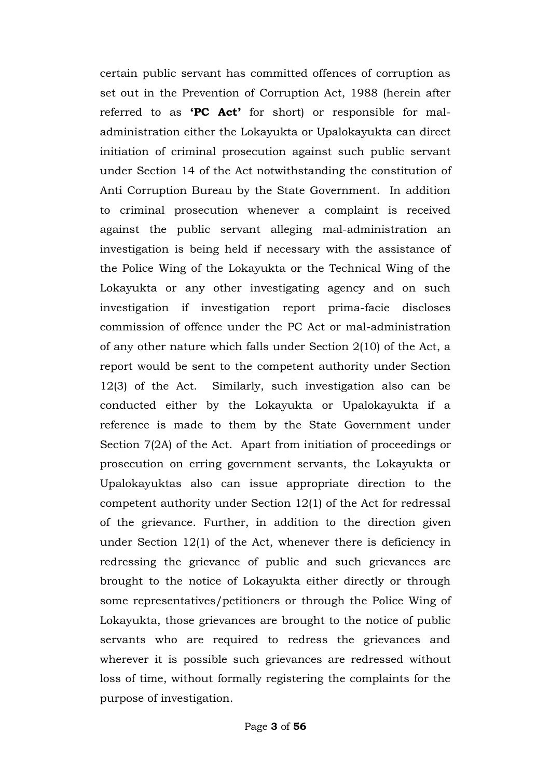certain public servant has committed offences of corruption as set out in the Prevention of Corruption Act, 1988 (herein after referred to as **'PC Act'** for short) or responsible for maladministration either the Lokayukta or Upalokayukta can direct initiation of criminal prosecution against such public servant under Section 14 of the Act notwithstanding the constitution of Anti Corruption Bureau by the State Government. In addition to criminal prosecution whenever a complaint is received against the public servant alleging mal-administration an investigation is being held if necessary with the assistance of the Police Wing of the Lokayukta or the Technical Wing of the Lokayukta or any other investigating agency and on such investigation if investigation report prima-facie discloses commission of offence under the PC Act or mal-administration of any other nature which falls under Section 2(10) of the Act, a report would be sent to the competent authority under Section 12(3) of the Act. Similarly, such investigation also can be conducted either by the Lokayukta or Upalokayukta if a reference is made to them by the State Government under Section 7(2A) of the Act. Apart from initiation of proceedings or prosecution on erring government servants, the Lokayukta or Upalokayuktas also can issue appropriate direction to the competent authority under Section 12(1) of the Act for redressal of the grievance. Further, in addition to the direction given under Section 12(1) of the Act, whenever there is deficiency in redressing the grievance of public and such grievances are brought to the notice of Lokayukta either directly or through some representatives/petitioners or through the Police Wing of Lokayukta, those grievances are brought to the notice of public servants who are required to redress the grievances and wherever it is possible such grievances are redressed without loss of time, without formally registering the complaints for the purpose of investigation.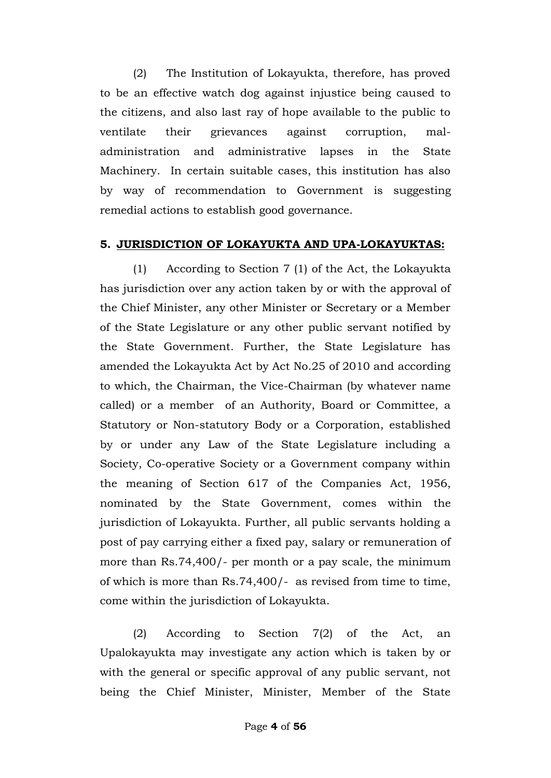(2) The Institution of Lokayukta, therefore, has proved to be an effective watch dog against injustice being caused to the citizens, and also last ray of hope available to the public to ventilate their grievances against corruption, maladministration and administrative lapses in the State Machinery. In certain suitable cases, this institution has also by way of recommendation to Government is suggesting remedial actions to establish good governance.

## **5. JURISDICTION OF LOKAYUKTA AND UPA-LOKAYUKTAS:**

(1) According to Section 7 (1) of the Act, the Lokayukta has jurisdiction over any action taken by or with the approval of the Chief Minister, any other Minister or Secretary or a Member of the State Legislature or any other public servant notified by the State Government. Further, the State Legislature has amended the Lokayukta Act by Act No.25 of 2010 and according to which, the Chairman, the Vice-Chairman (by whatever name called) or a member of an Authority, Board or Committee, a Statutory or Non-statutory Body or a Corporation, established by or under any Law of the State Legislature including a Society, Co-operative Society or a Government company within the meaning of Section 617 of the Companies Act, 1956, nominated by the State Government, comes within the jurisdiction of Lokayukta. Further, all public servants holding a post of pay carrying either a fixed pay, salary or remuneration of more than Rs.74,400/- per month or a pay scale, the minimum of which is more than Rs.74,400/- as revised from time to time, come within the jurisdiction of Lokayukta.

(2) According to Section 7(2) of the Act, an Upalokayukta may investigate any action which is taken by or with the general or specific approval of any public servant, not being the Chief Minister, Minister, Member of the State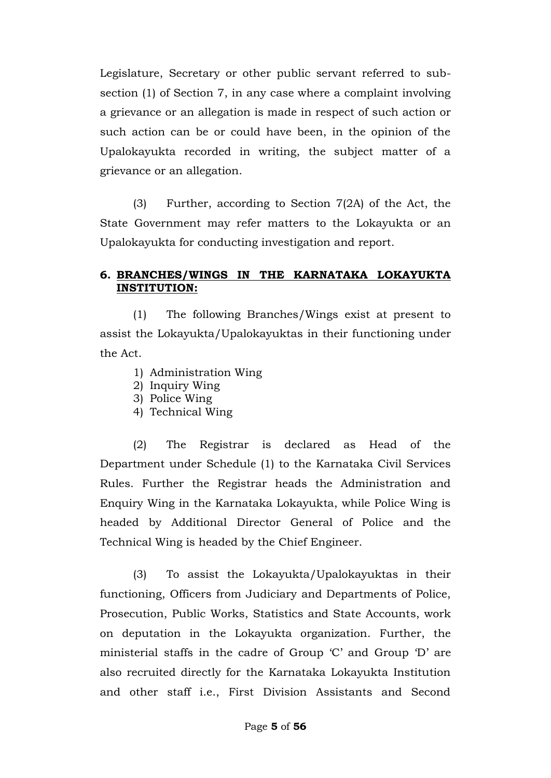Legislature, Secretary or other public servant referred to subsection (1) of Section 7, in any case where a complaint involving a grievance or an allegation is made in respect of such action or such action can be or could have been, in the opinion of the Upalokayukta recorded in writing, the subject matter of a grievance or an allegation.

(3) Further, according to Section 7(2A) of the Act, the State Government may refer matters to the Lokayukta or an Upalokayukta for conducting investigation and report.

#### **6. BRANCHES/WINGS IN THE KARNATAKA LOKAYUKTA INSTITUTION:**

(1) The following Branches/Wings exist at present to assist the Lokayukta/Upalokayuktas in their functioning under the Act.

- 1) Administration Wing
- 2) Inquiry Wing
- 3) Police Wing
- 4) Technical Wing

(2) The Registrar is declared as Head of the Department under Schedule (1) to the Karnataka Civil Services Rules. Further the Registrar heads the Administration and Enquiry Wing in the Karnataka Lokayukta, while Police Wing is headed by Additional Director General of Police and the Technical Wing is headed by the Chief Engineer.

(3) To assist the Lokayukta/Upalokayuktas in their functioning, Officers from Judiciary and Departments of Police, Prosecution, Public Works, Statistics and State Accounts, work on deputation in the Lokayukta organization. Further, the ministerial staffs in the cadre of Group "C" and Group "D" are also recruited directly for the Karnataka Lokayukta Institution and other staff i.e., First Division Assistants and Second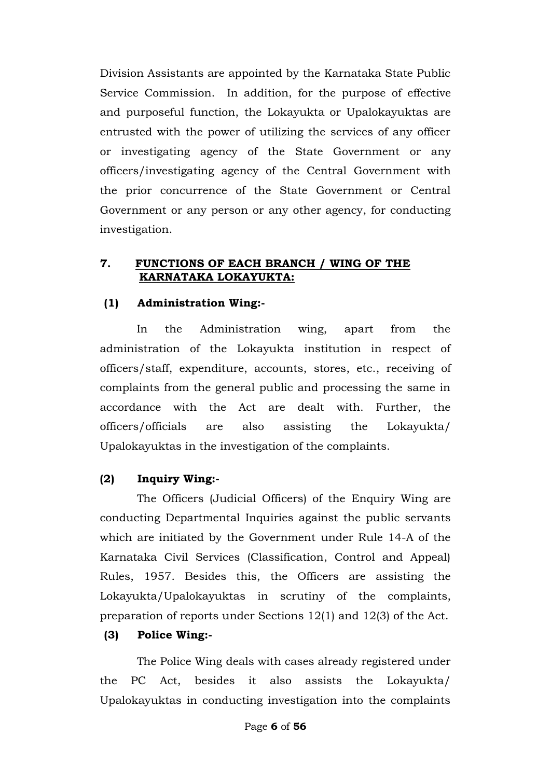Division Assistants are appointed by the Karnataka State Public Service Commission. In addition, for the purpose of effective and purposeful function, the Lokayukta or Upalokayuktas are entrusted with the power of utilizing the services of any officer or investigating agency of the State Government or any officers/investigating agency of the Central Government with the prior concurrence of the State Government or Central Government or any person or any other agency, for conducting investigation.

#### **7. FUNCTIONS OF EACH BRANCH / WING OF THE KARNATAKA LOKAYUKTA:**

## **(1) Administration Wing:-**

In the Administration wing, apart from the administration of the Lokayukta institution in respect of officers/staff, expenditure, accounts, stores, etc., receiving of complaints from the general public and processing the same in accordance with the Act are dealt with. Further, the officers/officials are also assisting the Lokayukta/ Upalokayuktas in the investigation of the complaints.

#### **(2) Inquiry Wing:-**

The Officers (Judicial Officers) of the Enquiry Wing are conducting Departmental Inquiries against the public servants which are initiated by the Government under Rule 14-A of the Karnataka Civil Services (Classification, Control and Appeal) Rules, 1957. Besides this, the Officers are assisting the Lokayukta/Upalokayuktas in scrutiny of the complaints, preparation of reports under Sections 12(1) and 12(3) of the Act.

#### **(3) Police Wing:-**

The Police Wing deals with cases already registered under the PC Act, besides it also assists the Lokayukta/ Upalokayuktas in conducting investigation into the complaints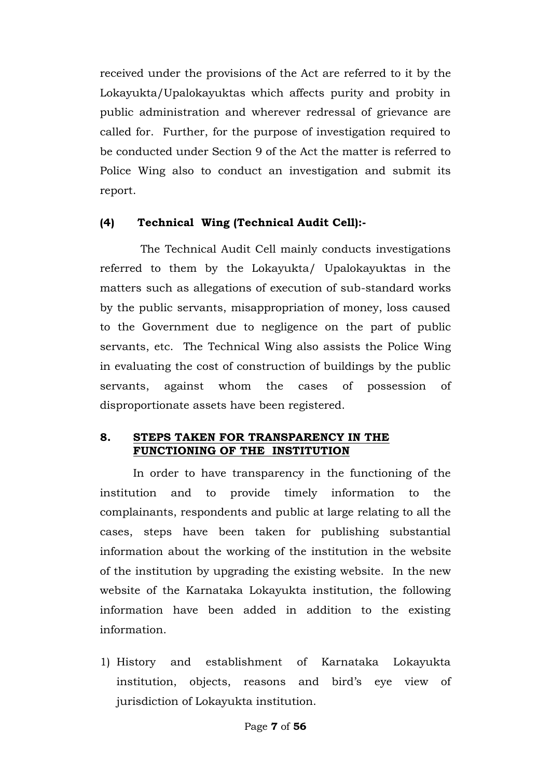received under the provisions of the Act are referred to it by the Lokayukta/Upalokayuktas which affects purity and probity in public administration and wherever redressal of grievance are called for. Further, for the purpose of investigation required to be conducted under Section 9 of the Act the matter is referred to Police Wing also to conduct an investigation and submit its report.

## **(4) Technical Wing (Technical Audit Cell):-**

 The Technical Audit Cell mainly conducts investigations referred to them by the Lokayukta/ Upalokayuktas in the matters such as allegations of execution of sub-standard works by the public servants, misappropriation of money, loss caused to the Government due to negligence on the part of public servants, etc. The Technical Wing also assists the Police Wing in evaluating the cost of construction of buildings by the public servants, against whom the cases of possession of disproportionate assets have been registered.

#### **8. STEPS TAKEN FOR TRANSPARENCY IN THE FUNCTIONING OF THE INSTITUTION**

In order to have transparency in the functioning of the institution and to provide timely information to the complainants, respondents and public at large relating to all the cases, steps have been taken for publishing substantial information about the working of the institution in the website of the institution by upgrading the existing website. In the new website of the Karnataka Lokayukta institution, the following information have been added in addition to the existing information.

1) History and establishment of Karnataka Lokayukta institution, objects, reasons and bird"s eye view of jurisdiction of Lokayukta institution.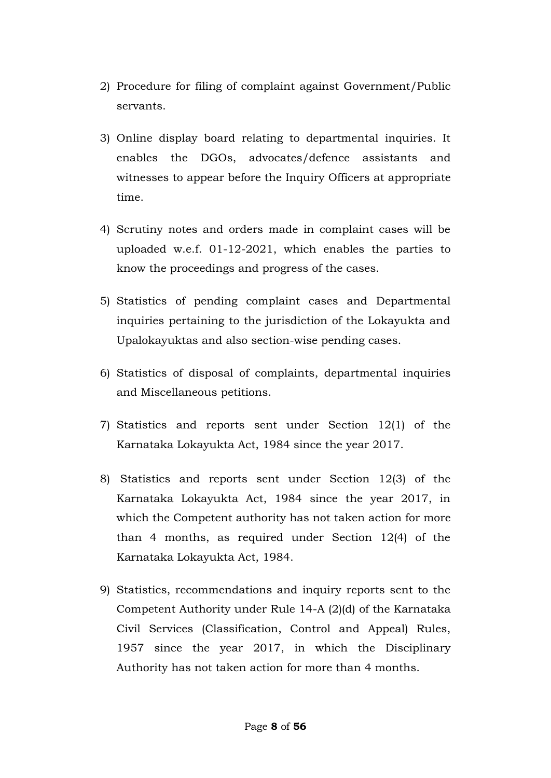- 2) Procedure for filing of complaint against Government/Public servants.
- 3) Online display board relating to departmental inquiries. It enables the DGOs, advocates/defence assistants and witnesses to appear before the Inquiry Officers at appropriate time.
- 4) Scrutiny notes and orders made in complaint cases will be uploaded w.e.f. 01-12-2021, which enables the parties to know the proceedings and progress of the cases.
- 5) Statistics of pending complaint cases and Departmental inquiries pertaining to the jurisdiction of the Lokayukta and Upalokayuktas and also section-wise pending cases.
- 6) Statistics of disposal of complaints, departmental inquiries and Miscellaneous petitions.
- 7) Statistics and reports sent under Section 12(1) of the Karnataka Lokayukta Act, 1984 since the year 2017.
- 8) Statistics and reports sent under Section 12(3) of the Karnataka Lokayukta Act, 1984 since the year 2017, in which the Competent authority has not taken action for more than 4 months, as required under Section 12(4) of the Karnataka Lokayukta Act, 1984.
- 9) Statistics, recommendations and inquiry reports sent to the Competent Authority under Rule 14-A (2)(d) of the Karnataka Civil Services (Classification, Control and Appeal) Rules, 1957 since the year 2017, in which the Disciplinary Authority has not taken action for more than 4 months.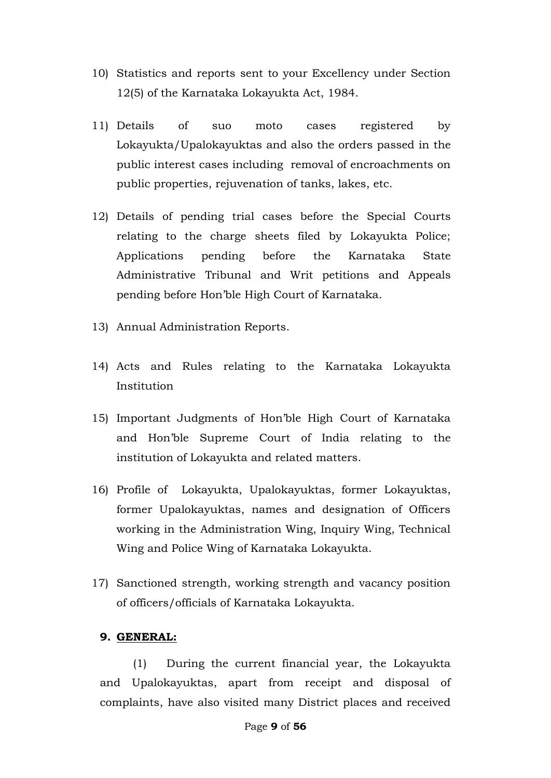- 10) Statistics and reports sent to your Excellency under Section 12(5) of the Karnataka Lokayukta Act, 1984.
- 11) Details of suo moto cases registered by Lokayukta/Upalokayuktas and also the orders passed in the public interest cases including removal of encroachments on public properties, rejuvenation of tanks, lakes, etc.
- 12) Details of pending trial cases before the Special Courts relating to the charge sheets filed by Lokayukta Police; Applications pending before the Karnataka State Administrative Tribunal and Writ petitions and Appeals pending before Hon"ble High Court of Karnataka.
- 13) Annual Administration Reports.
- 14) Acts and Rules relating to the Karnataka Lokayukta Institution
- 15) Important Judgments of Hon"ble High Court of Karnataka and Hon"ble Supreme Court of India relating to the institution of Lokayukta and related matters.
- 16) Profile of Lokayukta, Upalokayuktas, former Lokayuktas, former Upalokayuktas, names and designation of Officers working in the Administration Wing, Inquiry Wing, Technical Wing and Police Wing of Karnataka Lokayukta.
- 17) Sanctioned strength, working strength and vacancy position of officers/officials of Karnataka Lokayukta.

#### **9. GENERAL:**

(1) During the current financial year, the Lokayukta and Upalokayuktas, apart from receipt and disposal of complaints, have also visited many District places and received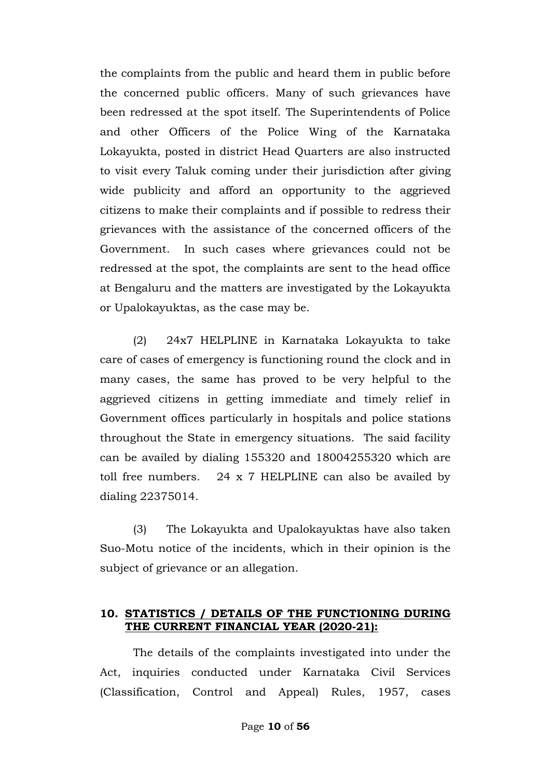the complaints from the public and heard them in public before the concerned public officers. Many of such grievances have been redressed at the spot itself. The Superintendents of Police and other Officers of the Police Wing of the Karnataka Lokayukta, posted in district Head Quarters are also instructed to visit every Taluk coming under their jurisdiction after giving wide publicity and afford an opportunity to the aggrieved citizens to make their complaints and if possible to redress their grievances with the assistance of the concerned officers of the Government. In such cases where grievances could not be redressed at the spot, the complaints are sent to the head office at Bengaluru and the matters are investigated by the Lokayukta or Upalokayuktas, as the case may be.

(2) 24x7 HELPLINE in Karnataka Lokayukta to take care of cases of emergency is functioning round the clock and in many cases, the same has proved to be very helpful to the aggrieved citizens in getting immediate and timely relief in Government offices particularly in hospitals and police stations throughout the State in emergency situations. The said facility can be availed by dialing 155320 and 18004255320 which are toll free numbers. 24 x 7 HELPLINE can also be availed by dialing 22375014.

(3) The Lokayukta and Upalokayuktas have also taken Suo-Motu notice of the incidents, which in their opinion is the subject of grievance or an allegation.

#### **10. STATISTICS / DETAILS OF THE FUNCTIONING DURING THE CURRENT FINANCIAL YEAR (2020-21):**

The details of the complaints investigated into under the Act, inquiries conducted under Karnataka Civil Services (Classification, Control and Appeal) Rules, 1957, cases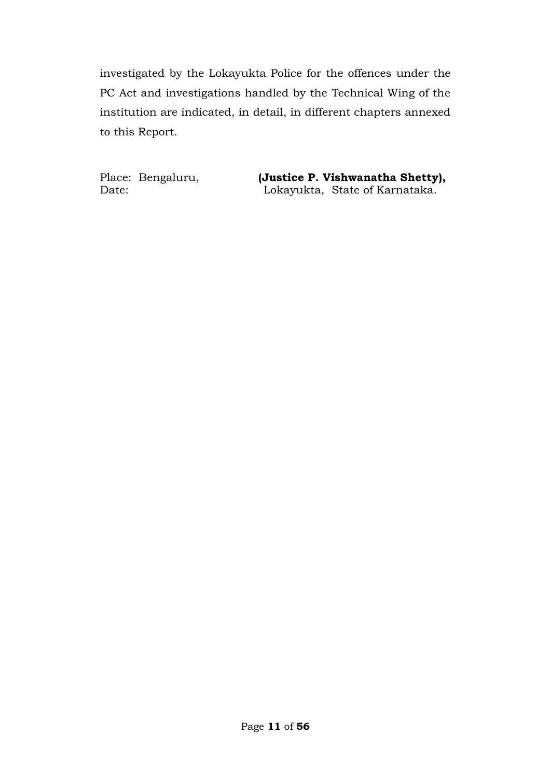investigated by the Lokayukta Police for the offences under the PC Act and investigations handled by the Technical Wing of the institution are indicated, in detail, in different chapters annexed to this Report.

Place: Bengaluru, **(Justice P. Vishwanatha Shetty),** Date: Lokayukta, State of Karnataka.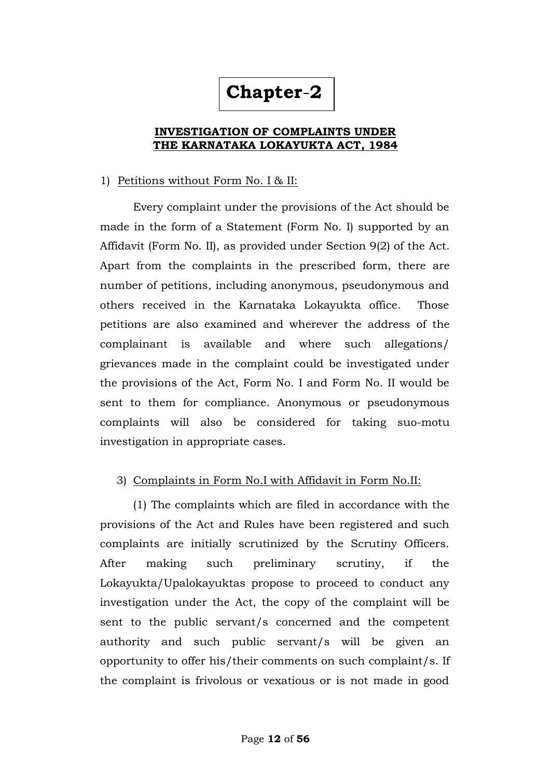# **Chapter**-**2**

#### **INVESTIGATION OF COMPLAINTS UNDER THE KARNATAKA LOKAYUKTA ACT, 1984**

#### 1)Petitions without Form No. I & II:

Every complaint under the provisions of the Act should be made in the form of a Statement (Form No. I) supported by an Affidavit (Form No. II), as provided under Section 9(2) of the Act. Apart from the complaints in the prescribed form, there are number of petitions, including anonymous, pseudonymous and others received in the Karnataka Lokayukta office. Those petitions are also examined and wherever the address of the complainant is available and where such allegations/ grievances made in the complaint could be investigated under the provisions of the Act, Form No. I and Form No. II would be sent to them for compliance. Anonymous or pseudonymous complaints will also be considered for taking suo-motu investigation in appropriate cases.

#### 3) Complaints in Form No.I with Affidavit in Form No.II:

(1) The complaints which are filed in accordance with the provisions of the Act and Rules have been registered and such complaints are initially scrutinized by the Scrutiny Officers. After making such preliminary scrutiny, if the Lokayukta/Upalokayuktas propose to proceed to conduct any investigation under the Act, the copy of the complaint will be sent to the public servant/s concerned and the competent authority and such public servant/s will be given an opportunity to offer his/their comments on such complaint/s. If the complaint is frivolous or vexatious or is not made in good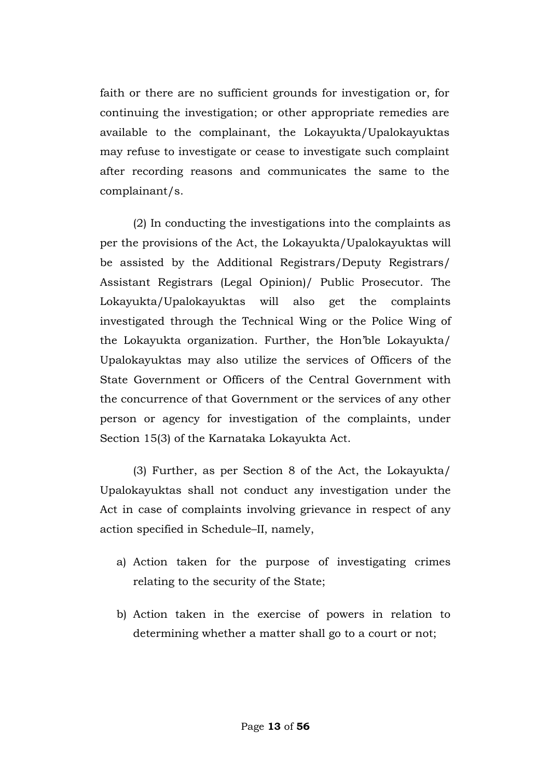faith or there are no sufficient grounds for investigation or, for continuing the investigation; or other appropriate remedies are available to the complainant, the Lokayukta/Upalokayuktas may refuse to investigate or cease to investigate such complaint after recording reasons and communicates the same to the complainant/s.

(2) In conducting the investigations into the complaints as per the provisions of the Act, the Lokayukta/Upalokayuktas will be assisted by the Additional Registrars/Deputy Registrars/ Assistant Registrars (Legal Opinion)/ Public Prosecutor. The Lokayukta/Upalokayuktas will also get the complaints investigated through the Technical Wing or the Police Wing of the Lokayukta organization. Further, the Hon"ble Lokayukta/ Upalokayuktas may also utilize the services of Officers of the State Government or Officers of the Central Government with the concurrence of that Government or the services of any other person or agency for investigation of the complaints, under Section 15(3) of the Karnataka Lokayukta Act.

(3) Further, as per Section 8 of the Act, the Lokayukta/ Upalokayuktas shall not conduct any investigation under the Act in case of complaints involving grievance in respect of any action specified in Schedule–II, namely,

- a) Action taken for the purpose of investigating crimes relating to the security of the State;
- b) Action taken in the exercise of powers in relation to determining whether a matter shall go to a court or not;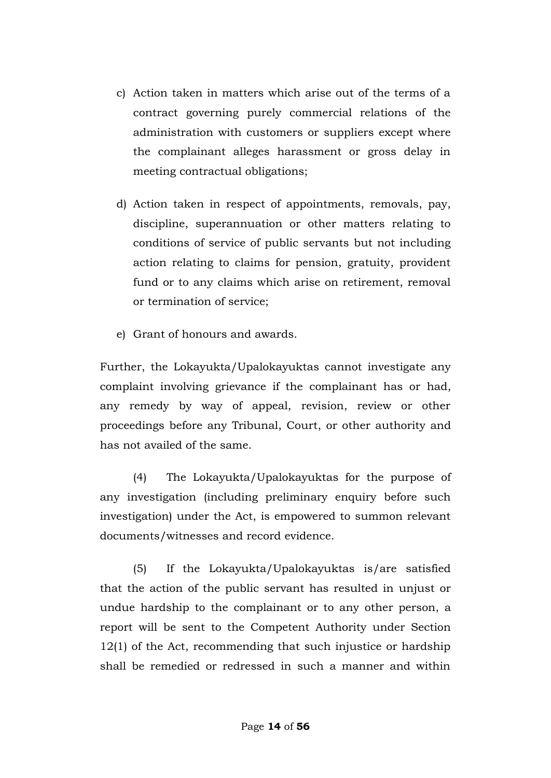- c) Action taken in matters which arise out of the terms of a contract governing purely commercial relations of the administration with customers or suppliers except where the complainant alleges harassment or gross delay in meeting contractual obligations;
- d) Action taken in respect of appointments, removals, pay, discipline, superannuation or other matters relating to conditions of service of public servants but not including action relating to claims for pension, gratuity, provident fund or to any claims which arise on retirement, removal or termination of service;
- e) Grant of honours and awards.

Further, the Lokayukta/Upalokayuktas cannot investigate any complaint involving grievance if the complainant has or had, any remedy by way of appeal, revision, review or other proceedings before any Tribunal, Court, or other authority and has not availed of the same.

(4) The Lokayukta/Upalokayuktas for the purpose of any investigation (including preliminary enquiry before such investigation) under the Act, is empowered to summon relevant documents/witnesses and record evidence.

(5) If the Lokayukta/Upalokayuktas is/are satisfied that the action of the public servant has resulted in unjust or undue hardship to the complainant or to any other person, a report will be sent to the Competent Authority under Section 12(1) of the Act, recommending that such injustice or hardship shall be remedied or redressed in such a manner and within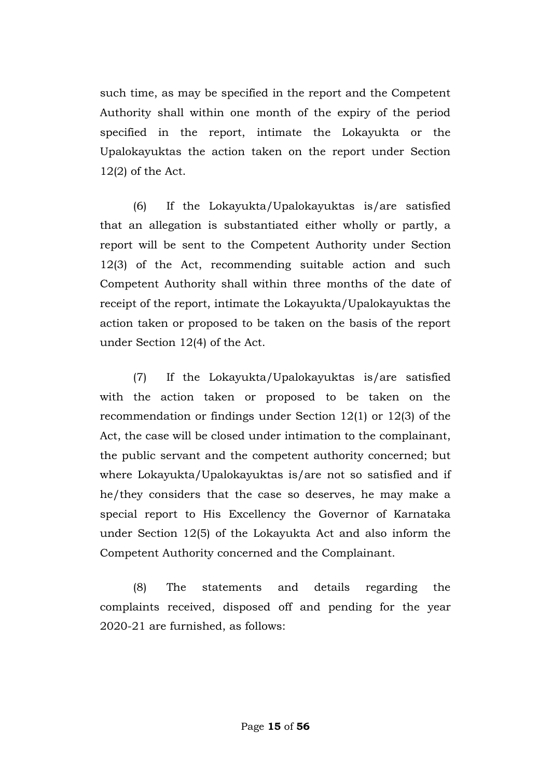such time, as may be specified in the report and the Competent Authority shall within one month of the expiry of the period specified in the report, intimate the Lokayukta or the Upalokayuktas the action taken on the report under Section 12(2) of the Act.

(6) If the Lokayukta/Upalokayuktas is/are satisfied that an allegation is substantiated either wholly or partly, a report will be sent to the Competent Authority under Section 12(3) of the Act, recommending suitable action and such Competent Authority shall within three months of the date of receipt of the report, intimate the Lokayukta/Upalokayuktas the action taken or proposed to be taken on the basis of the report under Section 12(4) of the Act.

(7) If the Lokayukta/Upalokayuktas is/are satisfied with the action taken or proposed to be taken on the recommendation or findings under Section 12(1) or 12(3) of the Act, the case will be closed under intimation to the complainant, the public servant and the competent authority concerned; but where Lokayukta/Upalokayuktas is/are not so satisfied and if he/they considers that the case so deserves, he may make a special report to His Excellency the Governor of Karnataka under Section 12(5) of the Lokayukta Act and also inform the Competent Authority concerned and the Complainant.

(8) The statements and details regarding the complaints received, disposed off and pending for the year 2020-21 are furnished, as follows: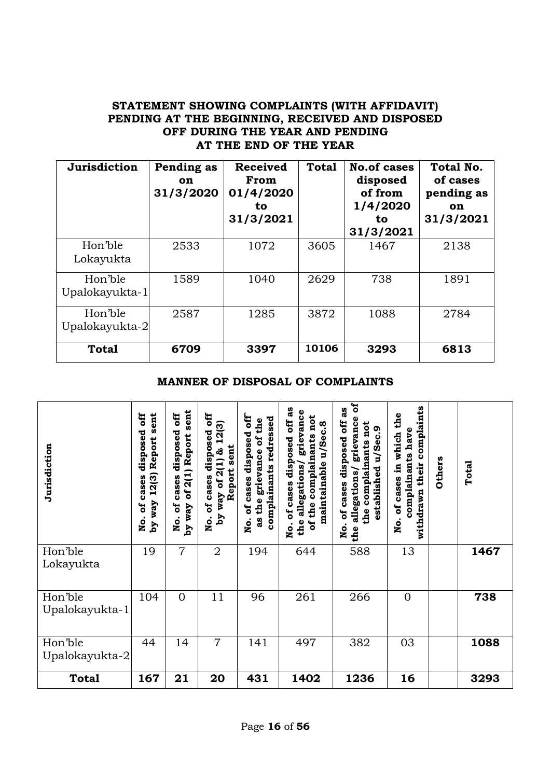#### **STATEMENT SHOWING COMPLAINTS (WITH AFFIDAVIT) PENDING AT THE BEGINNING, RECEIVED AND DISPOSED OFF DURING THE YEAR AND PENDING AT THE END OF THE YEAR**

| Jurisdiction              | Pending as<br><b>on</b><br>31/3/2020 | <b>Received</b><br>From<br>01/4/2020<br>to<br>31/3/2021 | <b>Total</b> | <b>No.of cases</b><br>disposed<br>of from<br>1/4/2020<br>to.<br>31/3/2021 | Total No.<br>of cases<br>pending as<br>on<br>31/3/2021 |
|---------------------------|--------------------------------------|---------------------------------------------------------|--------------|---------------------------------------------------------------------------|--------------------------------------------------------|
| Hon'ble<br>Lokayukta      | 2533                                 | 1072                                                    | 3605         | 1467                                                                      | 2138                                                   |
| Hon'ble<br>Upalokayukta-1 | 1589                                 | 1040                                                    | 2629         | 738                                                                       | 1891                                                   |
| Hon'ble<br>Upalokayukta-2 | 2587                                 | 1285                                                    | 3872         | 1088                                                                      | 2784                                                   |
| <b>Total</b>              | 6709                                 | 3397                                                    | 10106        | 3293                                                                      | 6813                                                   |

#### **MANNER OF DISPOSAL OF COMPLAINTS**

| Jurisdiction              | sent<br><b>SE</b><br>disposed<br>Report<br>12(3)<br>cases<br>way<br>៩<br>。<br>No.<br>$\mathbf{A}$ q | sent<br>off<br>disposed<br>Report<br>2(1)<br>cases<br>ð<br>័<br>vay<br>$\overline{\mathbf{z}}$<br>λá | off<br>2(3)<br>disposed<br>$\blacksquare$<br>sent<br>$2(1)$ &<br>Report<br>cases<br>ð<br>way<br>៵<br>xq<br>$\boldsymbol{\dot{\mathsf{z}}}$ | 甘<br>0<br>redressed<br>the<br>disposed<br>ិច<br>grievance<br>complainants<br>cases<br>the<br>័<br>æ<br>o.<br>No | ಡೆ<br>grievance<br>not<br>off<br>u/Sec.8<br>complainants<br>disposed<br>maintainable<br>allegations/<br>of cases<br>the<br>the<br>ð<br>o<br>R | ឪ<br>3g<br>ð<br>grievanc<br>not<br>u/Sec.9<br>disposed<br>complainants<br>established<br>allegations<br>cases<br>the<br>ð<br><u>io</u><br>the | complaints<br>of cases in which the<br>complainants have<br>their<br>withdrawn<br>o<br>No. | Others | Total |
|---------------------------|-----------------------------------------------------------------------------------------------------|------------------------------------------------------------------------------------------------------|--------------------------------------------------------------------------------------------------------------------------------------------|-----------------------------------------------------------------------------------------------------------------|-----------------------------------------------------------------------------------------------------------------------------------------------|-----------------------------------------------------------------------------------------------------------------------------------------------|--------------------------------------------------------------------------------------------|--------|-------|
| Hon'ble<br>Lokayukta      | 19                                                                                                  | $\overline{7}$                                                                                       | $\overline{2}$                                                                                                                             | 194                                                                                                             | 644                                                                                                                                           | 588                                                                                                                                           | 13                                                                                         |        | 1467  |
| Hon'ble<br>Upalokayukta-1 | 104                                                                                                 | $\overline{0}$                                                                                       | 11                                                                                                                                         | 96                                                                                                              | 261                                                                                                                                           | 266                                                                                                                                           | $\overline{0}$                                                                             |        | 738   |
| Hon'ble<br>Upalokayukta-2 | 44                                                                                                  | 14                                                                                                   | $\overline{7}$                                                                                                                             | 141                                                                                                             | 497                                                                                                                                           | 382                                                                                                                                           | 03                                                                                         |        | 1088  |
| <b>Total</b>              | 167                                                                                                 | 21                                                                                                   | 20                                                                                                                                         | 431                                                                                                             | 1402                                                                                                                                          | 1236                                                                                                                                          | 16                                                                                         |        | 3293  |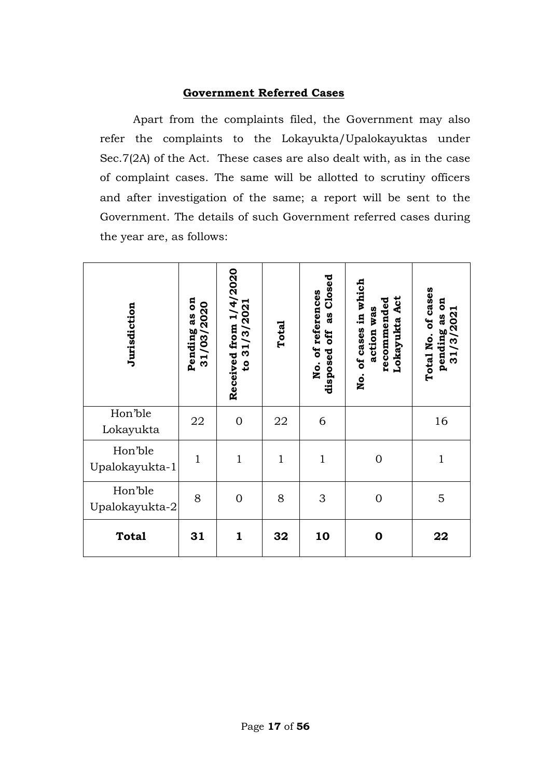#### **Government Referred Cases**

Apart from the complaints filed, the Government may also refer the complaints to the Lokayukta/Upalokayuktas under Sec.7(2A) of the Act. These cases are also dealt with, as in the case of complaint cases. The same will be allotted to scrutiny officers and after investigation of the same; a report will be sent to the Government. The details of such Government referred cases during the year are, as follows:

| Jurisdiction              | $\mathbf{a}$<br>31/03/2020<br>as<br>Pending | Received from 1/4/2020<br>to 31/3/2021 | Total        | as Closed<br>No. of references<br>off<br>disposed | of cases in which<br>Lokayukta Act<br>recommended<br>action was<br>$\mathbf{\dot{p}}$ | Total No. of cases<br><b>B</b><br>Н<br>31/3/202<br>as<br>pending |
|---------------------------|---------------------------------------------|----------------------------------------|--------------|---------------------------------------------------|---------------------------------------------------------------------------------------|------------------------------------------------------------------|
| Hon'ble<br>Lokayukta      | 22                                          | $\mathbf{0}$                           | 22           | 6                                                 |                                                                                       | 16                                                               |
| Hon'ble<br>Upalokayukta-1 | $\mathbf{1}$                                | $\mathbf{1}$                           | $\mathbf{1}$ | $\mathbf{1}$                                      | $\overline{0}$                                                                        | $\mathbf{1}$                                                     |
| Hon'ble<br>Upalokayukta-2 | 8                                           | $\overline{0}$                         | 8            | 3                                                 | $\overline{0}$                                                                        | 5                                                                |
| <b>Total</b>              | 31                                          | $\mathbf{1}$                           | 32           | 10                                                | $\boldsymbol{0}$                                                                      | 22                                                               |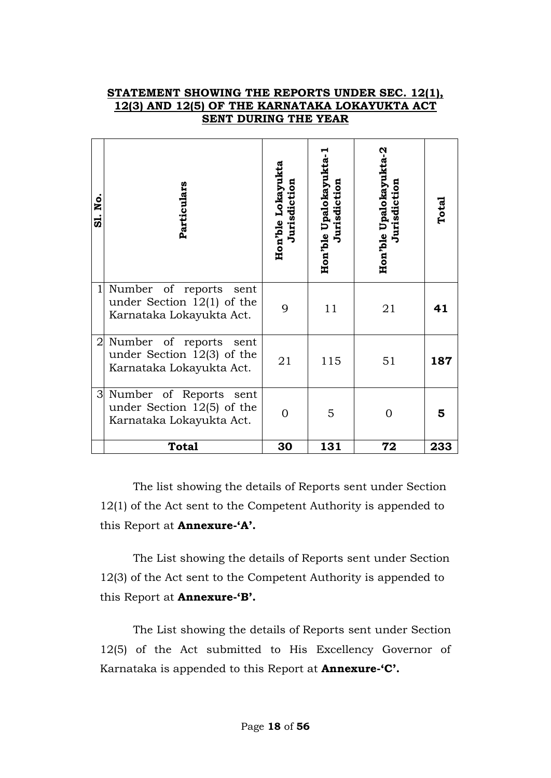#### **STATEMENT SHOWING THE REPORTS UNDER SEC. 12(1), 12(3) AND 12(5) OF THE KARNATAKA LOKAYUKTA ACT SENT DURING THE YEAR**

| .ok<br>$\vec{a}$ | Particulars                                                                          | Hon'ble Lokayukta<br>Jurisdiction | Hon'ble Upalokayukta-1<br>Jurisdiction | Hon'ble Upalokayukta-2<br>Jurisdiction | Total |
|------------------|--------------------------------------------------------------------------------------|-----------------------------------|----------------------------------------|----------------------------------------|-------|
| $\mathbf{1}$     | Number of reports sent<br>under Section $12(1)$ of the<br>Karnataka Lokayukta Act.   | 9                                 | 11                                     | 21                                     | 41    |
|                  | 2 Number of reports sent<br>under Section $12(3)$ of the<br>Karnataka Lokayukta Act. | 21                                | 115                                    | 51                                     | 187   |
| 3 <sup>l</sup>   | Number of Reports sent<br>under Section $12(5)$ of the<br>Karnataka Lokayukta Act.   | $\overline{0}$                    | 5                                      | $\overline{0}$                         | 5     |
|                  | <b>Total</b>                                                                         | 30                                | 131                                    | 72                                     | 233   |

The list showing the details of Reports sent under Section 12(1) of the Act sent to the Competent Authority is appended to this Report at **Annexure-'A'.**

The List showing the details of Reports sent under Section 12(3) of the Act sent to the Competent Authority is appended to this Report at **Annexure-'B'.**

The List showing the details of Reports sent under Section 12(5) of the Act submitted to His Excellency Governor of Karnataka is appended to this Report at **Annexure-'C'.**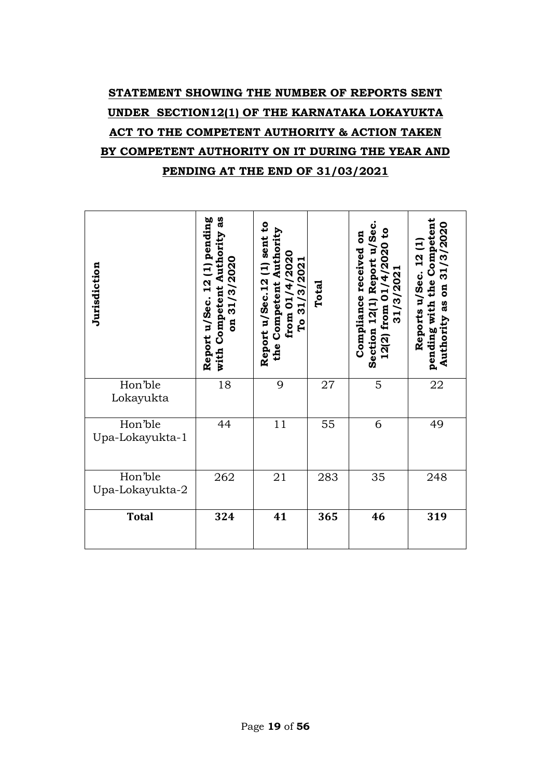# **STATEMENT SHOWING THE NUMBER OF REPORTS SENT UNDER SECTION12(1) OF THE KARNATAKA LOKAYUKTA ACT TO THE COMPETENT AUTHORITY & ACTION TAKEN BY COMPETENT AUTHORITY ON IT DURING THE YEAR AND PENDING AT THE END OF 31/03/2021**

| Jurisdiction               | as<br>Report u/Sec. 12 (1) pending<br>with Competent Authority<br>on 31/3/2020 | Report u/Sec. 12 (1) sent to<br>Competent Authority<br>from 01/4/2020<br>To 31/3/2021<br>the | Total | Section 12(1) Report u/Sec<br>$\mathbf{c}$<br>Compliance received on<br>01/4/2020<br>31/3/2021<br>from<br>12(2) | pending with the Competent<br>Authority as on 31/3/2020<br><b>12(1)</b><br>Reports u/Sec. |
|----------------------------|--------------------------------------------------------------------------------|----------------------------------------------------------------------------------------------|-------|-----------------------------------------------------------------------------------------------------------------|-------------------------------------------------------------------------------------------|
| Hon'ble<br>Lokayukta       | 18                                                                             | 9                                                                                            | 27    | 5                                                                                                               | 22                                                                                        |
| Hon'ble<br>Upa-Lokayukta-1 | 44                                                                             | 11                                                                                           | 55    | 6                                                                                                               | 49                                                                                        |
| Hon'ble<br>Upa-Lokayukta-2 | 262                                                                            | 21                                                                                           | 283   | 35                                                                                                              | 248                                                                                       |
| <b>Total</b>               | 324                                                                            | 41                                                                                           | 365   | 46                                                                                                              | 319                                                                                       |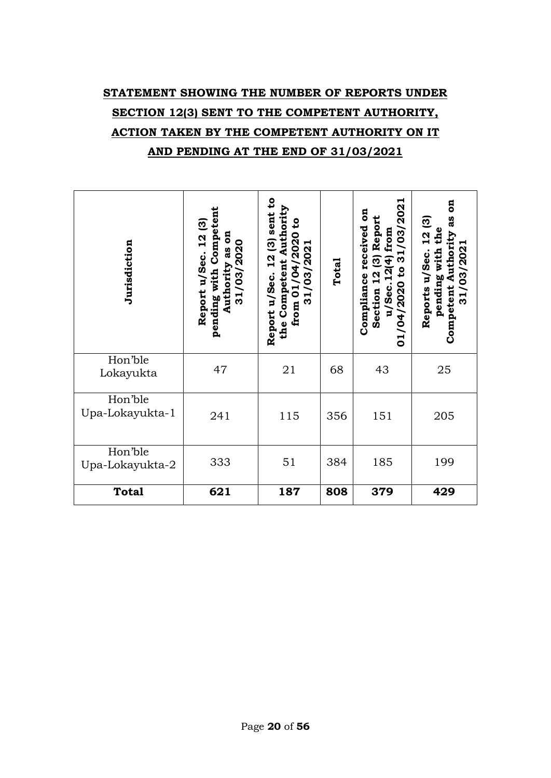# **STATEMENT SHOWING THE NUMBER OF REPORTS UNDER SECTION 12(3) SENT TO THE COMPETENT AUTHORITY, ACTION TAKEN BY THE COMPETENT AUTHORITY ON IT AND PENDING AT THE END OF 31/03/2021**

| Jurisdiction               | pending with Competent<br>Report u/Sec. 12 (3)<br>as on<br>31/03/2020<br>Authority | $\mathbf{c}$<br>Authority<br>$12(3)$ sent<br>S,<br>/04/2020<br>/03/2021<br>Competent<br>Report u/Sec.<br>from 01<br>31 <sub>l</sub><br>the | Total | 1/03/2021<br>g<br>Report<br>received<br>from<br>$\overline{3}$<br>$\boldsymbol{\omega}$<br>u/Sec.12(4)<br>$\mathbf{c}$<br>Section 12<br>Compliance<br>01/04/2020 | $\overline{5}$<br>as<br>12(3)<br>pending with the<br>Competent Authority<br>31/03/2021<br>Reports u/Sec. |
|----------------------------|------------------------------------------------------------------------------------|--------------------------------------------------------------------------------------------------------------------------------------------|-------|------------------------------------------------------------------------------------------------------------------------------------------------------------------|----------------------------------------------------------------------------------------------------------|
| Hon'ble<br>Lokayukta       | 47                                                                                 | 21                                                                                                                                         | 68    | 43                                                                                                                                                               | 25                                                                                                       |
| Hon'ble<br>Upa-Lokayukta-1 | 241                                                                                | 115                                                                                                                                        | 356   | 151                                                                                                                                                              | 205                                                                                                      |
| Hon'ble<br>Upa-Lokayukta-2 | 333                                                                                | 51                                                                                                                                         | 384   | 185                                                                                                                                                              | 199                                                                                                      |
| <b>Total</b>               | 621                                                                                | 187                                                                                                                                        | 808   | 379                                                                                                                                                              | 429                                                                                                      |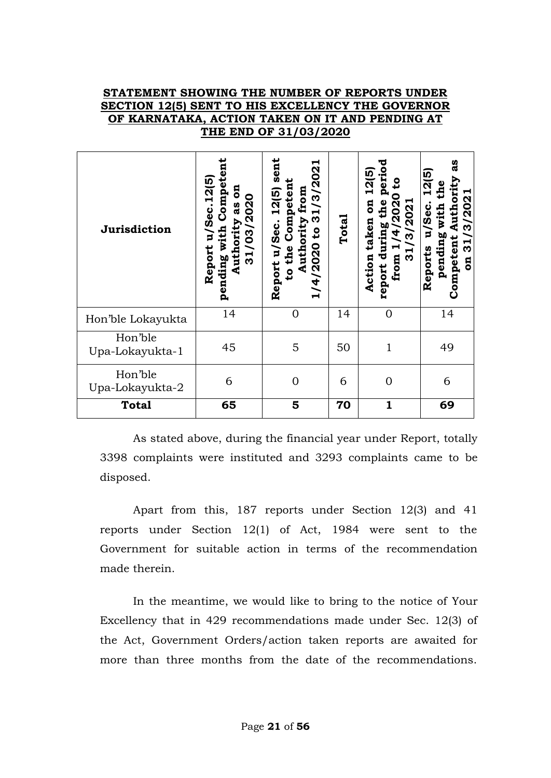#### **STATEMENT SHOWING THE NUMBER OF REPORTS UNDER SECTION 12(5) SENT TO HIS EXCELLENCY THE GOVERNOR OF KARNATAKA, ACTION TAKEN ON IT AND PENDING AT THE END OF 31/03/2020**

| Jurisdiction               | Competen<br>Sec. 12(5)<br>ទី<br>31/03/2020<br>as<br>Authority<br>pending with<br>$\mathbf{u}$<br>Report | sent<br>ᆋ<br>3/202<br>Competent<br>12(5)<br>Authority from<br>31<br>Report u/Sec.<br>$\mathbf{c}$<br>to the<br>1/4/2020 | Total | period<br>12(5)<br>₿<br>/2020<br>the<br>$\overline{\mathbf{a}}$<br>31/3/2021<br>taken<br>report during<br>$\widetilde{\mathbf{4}}$<br>from 1<br>Action | as<br>12(5)<br>Authority<br>pending with the<br>3/2021<br>u/Sec.<br>Competent<br>31/<br>Reports<br>$\overline{\mathbf{a}}$ |
|----------------------------|---------------------------------------------------------------------------------------------------------|-------------------------------------------------------------------------------------------------------------------------|-------|--------------------------------------------------------------------------------------------------------------------------------------------------------|----------------------------------------------------------------------------------------------------------------------------|
| Hon'ble Lokayukta          | 14                                                                                                      | $\overline{0}$                                                                                                          | 14    | $\mathbf{0}$                                                                                                                                           | 14                                                                                                                         |
| Hon'ble<br>Upa-Lokayukta-1 | 45                                                                                                      | 5                                                                                                                       | 50    | $\mathbf{1}$                                                                                                                                           | 49                                                                                                                         |
| Hon'ble<br>Upa-Lokayukta-2 | 6                                                                                                       | $\Omega$                                                                                                                | 6     | $\overline{0}$                                                                                                                                         | 6                                                                                                                          |
| <b>Total</b>               | 65                                                                                                      | 5                                                                                                                       | 70    | $\mathbf{1}$                                                                                                                                           | 69                                                                                                                         |

As stated above, during the financial year under Report, totally 3398 complaints were instituted and 3293 complaints came to be disposed.

Apart from this, 187 reports under Section 12(3) and 41 reports under Section 12(1) of Act, 1984 were sent to the Government for suitable action in terms of the recommendation made therein.

In the meantime, we would like to bring to the notice of Your Excellency that in 429 recommendations made under Sec. 12(3) of the Act, Government Orders/action taken reports are awaited for more than three months from the date of the recommendations.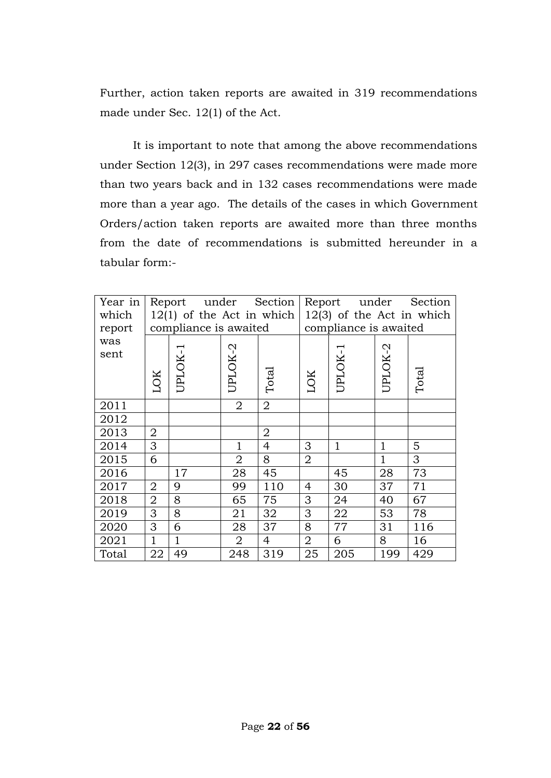Further, action taken reports are awaited in 319 recommendations made under Sec. 12(1) of the Act.

It is important to note that among the above recommendations under Section 12(3), in 297 cases recommendations were made more than two years back and in 132 cases recommendations were made more than a year ago. The details of the cases in which Government Orders/action taken reports are awaited more than three months from the date of recommendations is submitted hereunder in a tabular form:-

| Year in | Report under<br>Section |                             |                |                |                             | Report under             |              | Section |  |
|---------|-------------------------|-----------------------------|----------------|----------------|-----------------------------|--------------------------|--------------|---------|--|
| which   |                         | $12(1)$ of the Act in which |                |                | $12(3)$ of the Act in which |                          |              |         |  |
| report  | compliance is awaited   |                             |                |                |                             | compliance is awaited    |              |         |  |
| was     |                         | $\mathord{\text{--}}$       |                |                |                             | $\overline{\phantom{0}}$ |              |         |  |
| sent    |                         |                             | UPLOK-2        |                |                             |                          | UPLOK-2      |         |  |
|         |                         | UPLOK-                      |                |                |                             | UPLOK-                   |              |         |  |
|         | <b>LOK</b>              |                             |                | Total          | LOK                         |                          |              | Total   |  |
|         |                         |                             |                |                |                             |                          |              |         |  |
| 2011    |                         |                             | 2              | $\overline{2}$ |                             |                          |              |         |  |
| 2012    |                         |                             |                |                |                             |                          |              |         |  |
| 2013    | $\overline{2}$          |                             |                | $\overline{2}$ |                             |                          |              |         |  |
| 2014    | 3                       |                             | 1              | 4              | 3                           | $\mathbf{1}$             | 1            | 5       |  |
| 2015    | 6                       |                             | $\overline{2}$ | 8              | $\overline{2}$              |                          | $\mathbf{1}$ | 3       |  |
| 2016    |                         | 17                          | 28             | 45             |                             | 45                       | 28           | 73      |  |
| 2017    | $\overline{2}$          | 9                           | 99             | 110            | $\overline{4}$              | 30                       | 37           | 71      |  |
| 2018    | $\overline{2}$          | 8                           | 65             | 75             | 3                           | 24                       | 40           | 67      |  |
| 2019    | 3                       | 8                           | 21             | 32             | 3                           | 22                       | 53           | 78      |  |
| 2020    | 3                       | 6                           | 28             | 37             | 8                           | 77                       | 31           | 116     |  |
| 2021    | $\mathbf{1}$            | 1                           | $\overline{2}$ | $\overline{4}$ | $\overline{2}$              | 6                        | 8            | 16      |  |
| Total   | 22                      | 49                          | 248            | 319            | 25                          | 205                      | 199          | 429     |  |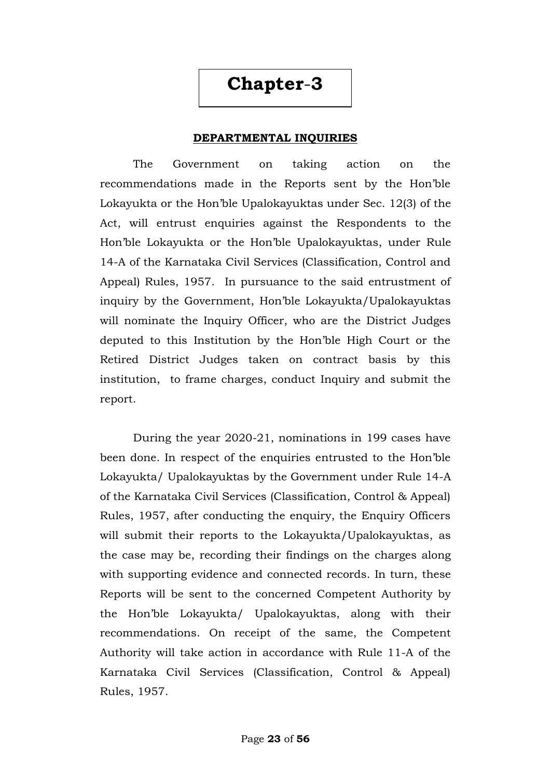# **Chapter**-**3**

#### **DEPARTMENTAL INQUIRIES**

The Government on taking action on the recommendations made in the Reports sent by the Hon"ble Lokayukta or the Hon"ble Upalokayuktas under Sec. 12(3) of the Act, will entrust enquiries against the Respondents to the Hon"ble Lokayukta or the Hon"ble Upalokayuktas, under Rule 14-A of the Karnataka Civil Services (Classification, Control and Appeal) Rules, 1957. In pursuance to the said entrustment of inquiry by the Government, Hon"ble Lokayukta/Upalokayuktas will nominate the Inquiry Officer, who are the District Judges deputed to this Institution by the Hon"ble High Court or the Retired District Judges taken on contract basis by this institution, to frame charges, conduct Inquiry and submit the report.

During the year 2020-21, nominations in 199 cases have been done. In respect of the enquiries entrusted to the Hon"ble Lokayukta/ Upalokayuktas by the Government under Rule 14-A of the Karnataka Civil Services (Classification, Control & Appeal) Rules, 1957, after conducting the enquiry, the Enquiry Officers will submit their reports to the Lokayukta/Upalokayuktas, as the case may be, recording their findings on the charges along with supporting evidence and connected records. In turn, these Reports will be sent to the concerned Competent Authority by the Hon"ble Lokayukta/ Upalokayuktas, along with their recommendations. On receipt of the same, the Competent Authority will take action in accordance with Rule 11-A of the Karnataka Civil Services (Classification, Control & Appeal) Rules, 1957.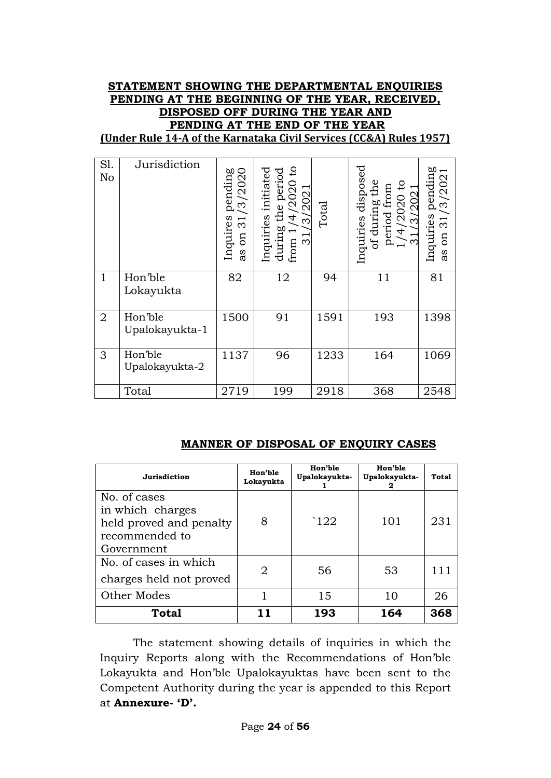## **STATEMENT SHOWING THE DEPARTMENTAL ENQUIRIES PENDING AT THE BEGINNING OF THE YEAR, RECEIVED, DISPOSED OFF DURING THE YEAR AND PENDING AT THE END OF THE YEAR**

**(Under Rule 14-A of the Karnataka Civil Services (CC&A) Rules 1957)**

| S1.<br>No      | Jurisdiction              | /2020<br>pending<br>ကဲ<br>Inquires<br>$\overline{\mathfrak{S}}$<br>$\mathfrak{g}$<br>as | $\mathsf{S}$<br>Inquiries initiated<br>during the period<br>from $1/4/2020$ to<br>2021<br>3<br>from<br>ო | Total | disposed<br>of during the<br>period from<br>$1/4/2020$ to<br>/202<br>Inquiries<br>$\infty$ | ries pending<br>. 31/3/2021<br>Inquiries<br>$\mathop{\mathrm{nn}}$<br>as |
|----------------|---------------------------|-----------------------------------------------------------------------------------------|----------------------------------------------------------------------------------------------------------|-------|--------------------------------------------------------------------------------------------|--------------------------------------------------------------------------|
| $\mathbf{1}$   | Hon'ble<br>Lokayukta      | 82                                                                                      | 12                                                                                                       | 94    | 11                                                                                         | 81                                                                       |
| $\overline{2}$ | Hon'ble<br>Upalokayukta-1 | 1500                                                                                    | 91                                                                                                       | 1591  | 193                                                                                        | 1398                                                                     |
| 3              | Hon'ble<br>Upalokayukta-2 | 1137                                                                                    | 96                                                                                                       | 1233  | 164                                                                                        | 1069                                                                     |
|                | Total                     | 2719                                                                                    | 199                                                                                                      | 2918  | 368                                                                                        | 2548                                                                     |

#### **MANNER OF DISPOSAL OF ENQUIRY CASES**

| Jurisdiction                                                                                | Hon'ble<br>Lokayukta | Hon'ble<br>Upalokayukta- | Hon'ble<br>Upalokayukta-<br>2 | Total |
|---------------------------------------------------------------------------------------------|----------------------|--------------------------|-------------------------------|-------|
| No. of cases<br>in which charges<br>held proved and penalty<br>recommended to<br>Government | 8                    | $\lceil 122 \rceil$      | 101                           | 231   |
| No. of cases in which<br>charges held not proved                                            | 2                    | 56                       | 53                            |       |
| Other Modes                                                                                 |                      | 15                       | 10                            | 26    |
| <b>Total</b>                                                                                |                      | 193                      | 164                           | 368   |

The statement showing details of inquiries in which the Inquiry Reports along with the Recommendations of Hon"ble Lokayukta and Hon"ble Upalokayuktas have been sent to the Competent Authority during the year is appended to this Report at **Annexure- 'D'.**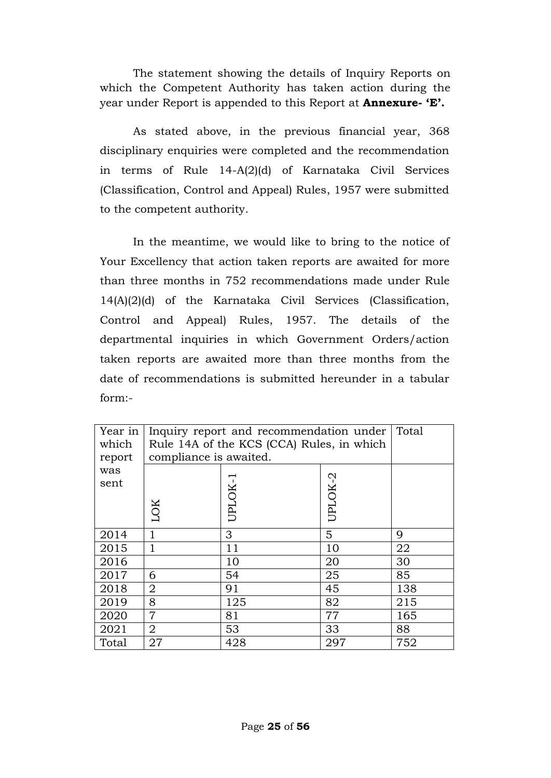The statement showing the details of Inquiry Reports on which the Competent Authority has taken action during the year under Report is appended to this Report at **Annexure- 'E'.**

As stated above, in the previous financial year, 368 disciplinary enquiries were completed and the recommendation in terms of Rule 14-A(2)(d) of Karnataka Civil Services (Classification, Control and Appeal) Rules, 1957 were submitted to the competent authority.

In the meantime, we would like to bring to the notice of Your Excellency that action taken reports are awaited for more than three months in 752 recommendations made under Rule 14(A)(2)(d) of the Karnataka Civil Services (Classification, Control and Appeal) Rules, 1957. The details of the departmental inquiries in which Government Orders/action taken reports are awaited more than three months from the date of recommendations is submitted hereunder in a tabular form:-

| Year in<br>which<br>report | Inquiry report and recommendation under<br>Rule 14A of the KCS (CCA) Rules, in which<br>compliance is awaited. | Total                               |     |     |  |  |  |
|----------------------------|----------------------------------------------------------------------------------------------------------------|-------------------------------------|-----|-----|--|--|--|
| was<br>sent                | LOK                                                                                                            | UPLOK-2<br>$\blacksquare$<br>UPLOK- |     |     |  |  |  |
| 2014                       | 1                                                                                                              | 3                                   | 5   | 9   |  |  |  |
| 2015                       |                                                                                                                | 11                                  | 10  | 22  |  |  |  |
| 2016                       |                                                                                                                | 10                                  | 20  | 30  |  |  |  |
| 2017                       | 6                                                                                                              | 54                                  | 25  | 85  |  |  |  |
| 2018                       | 2                                                                                                              | 91                                  | 45  | 138 |  |  |  |
| 2019                       | 8                                                                                                              | 125                                 | 82  | 215 |  |  |  |
| 2020                       | 7                                                                                                              | 81                                  | 77  | 165 |  |  |  |
| 2021                       | $\overline{2}$                                                                                                 | 53                                  | 33  | 88  |  |  |  |
| Total                      | 27                                                                                                             | 428                                 | 297 | 752 |  |  |  |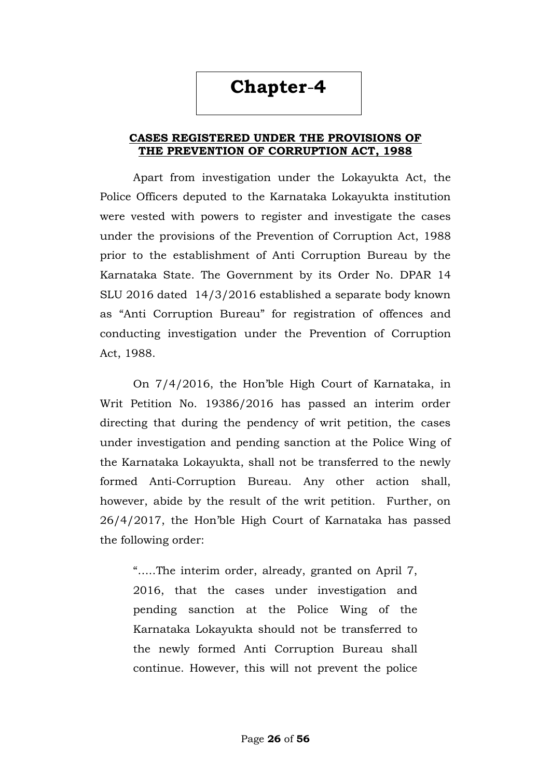# **Chapter**-**4**

#### **CASES REGISTERED UNDER THE PROVISIONS OF THE PREVENTION OF CORRUPTION ACT, 1988**

Apart from investigation under the Lokayukta Act, the Police Officers deputed to the Karnataka Lokayukta institution were vested with powers to register and investigate the cases under the provisions of the Prevention of Corruption Act, 1988 prior to the establishment of Anti Corruption Bureau by the Karnataka State. The Government by its Order No. DPAR 14 SLU 2016 dated 14/3/2016 established a separate body known as "Anti Corruption Bureau" for registration of offences and conducting investigation under the Prevention of Corruption Act, 1988.

On 7/4/2016, the Hon"ble High Court of Karnataka, in Writ Petition No. 19386/2016 has passed an interim order directing that during the pendency of writ petition, the cases under investigation and pending sanction at the Police Wing of the Karnataka Lokayukta, shall not be transferred to the newly formed Anti-Corruption Bureau. Any other action shall, however, abide by the result of the writ petition. Further, on 26/4/2017, the Hon"ble High Court of Karnataka has passed the following order:

"…..The interim order, already, granted on April 7, 2016, that the cases under investigation and pending sanction at the Police Wing of the Karnataka Lokayukta should not be transferred to the newly formed Anti Corruption Bureau shall continue. However, this will not prevent the police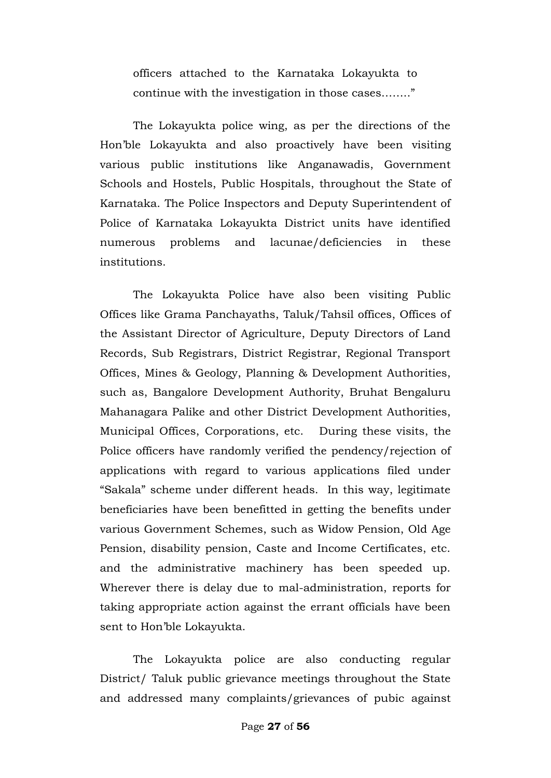officers attached to the Karnataka Lokayukta to continue with the investigation in those cases…….."

The Lokayukta police wing, as per the directions of the Hon"ble Lokayukta and also proactively have been visiting various public institutions like Anganawadis, Government Schools and Hostels, Public Hospitals, throughout the State of Karnataka. The Police Inspectors and Deputy Superintendent of Police of Karnataka Lokayukta District units have identified numerous problems and lacunae/deficiencies in these institutions.

The Lokayukta Police have also been visiting Public Offices like Grama Panchayaths, Taluk/Tahsil offices, Offices of the Assistant Director of Agriculture, Deputy Directors of Land Records, Sub Registrars, District Registrar, Regional Transport Offices, Mines & Geology, Planning & Development Authorities, such as, Bangalore Development Authority, Bruhat Bengaluru Mahanagara Palike and other District Development Authorities, Municipal Offices, Corporations, etc. During these visits, the Police officers have randomly verified the pendency/rejection of applications with regard to various applications filed under "Sakala" scheme under different heads. In this way, legitimate beneficiaries have been benefitted in getting the benefits under various Government Schemes, such as Widow Pension, Old Age Pension, disability pension, Caste and Income Certificates, etc. and the administrative machinery has been speeded up. Wherever there is delay due to mal-administration, reports for taking appropriate action against the errant officials have been sent to Hon"ble Lokayukta.

The Lokayukta police are also conducting regular District/ Taluk public grievance meetings throughout the State and addressed many complaints/grievances of pubic against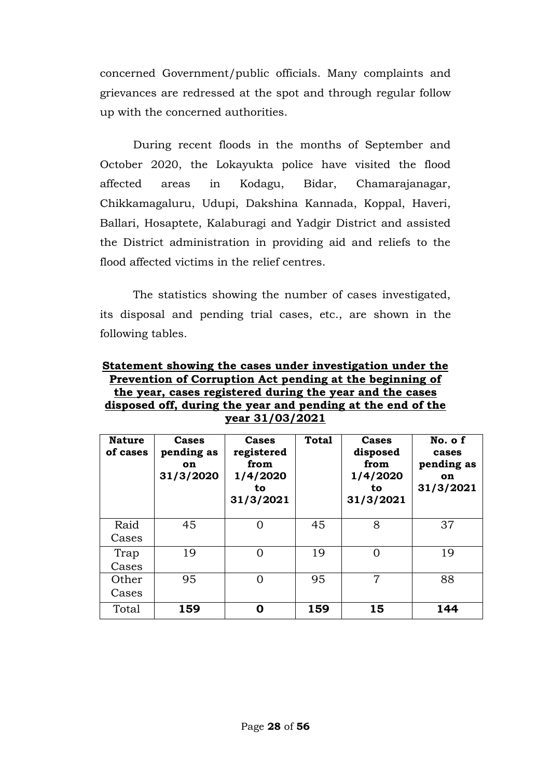concerned Government/public officials. Many complaints and grievances are redressed at the spot and through regular follow up with the concerned authorities.

During recent floods in the months of September and October 2020, the Lokayukta police have visited the flood affected areas in Kodagu, Bidar, Chamarajanagar, Chikkamagaluru, Udupi, Dakshina Kannada, Koppal, Haveri, Ballari, Hosaptete, Kalaburagi and Yadgir District and assisted the District administration in providing aid and reliefs to the flood affected victims in the relief centres.

The statistics showing the number of cases investigated, its disposal and pending trial cases, etc., are shown in the following tables.

**Statement showing the cases under investigation under the Prevention of Corruption Act pending at the beginning of the year, cases registered during the year and the cases disposed off, during the year and pending at the end of the year 31/03/2021**

| <b>Nature</b><br>of cases | Cases<br>pending as<br><b>on</b><br>31/3/2020 | Cases<br>registered<br>from<br>1/4/2020<br>to<br>31/3/2021 | <b>Total</b> | <b>Cases</b><br>disposed<br>from<br>1/4/2020<br>to<br>31/3/2021 | No. of<br>cases<br>pending as<br><b>on</b><br>31/3/2021 |
|---------------------------|-----------------------------------------------|------------------------------------------------------------|--------------|-----------------------------------------------------------------|---------------------------------------------------------|
| Raid<br>Cases             | 45                                            | Ω                                                          | 45           | 8                                                               | 37                                                      |
| Trap<br>Cases             | 19                                            | 0                                                          | 19           | 0                                                               | 19                                                      |
| Other<br>Cases            | 95                                            | 0                                                          | 95           | 7                                                               | 88                                                      |
| Total                     | 159                                           | Ω                                                          | 159          | 15                                                              | 144                                                     |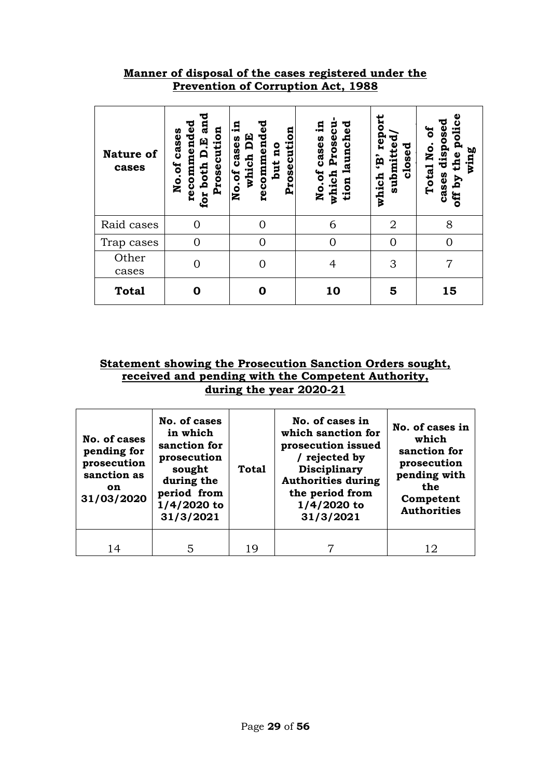### **Manner of disposal of the cases registered under the Prevention of Corruption Act, 1988**

| <b>Nature of</b><br>cases | recommended<br>an<br>Prosecution<br>cases<br>D.E<br>both<br>No.of<br>for<br> | ъ<br><u>ដ</u><br>$\boldsymbol{\omega}$<br>Prosecution<br>recommend<br>EQ<br>cases<br>qu<br>which<br>but<br>No.of | Prosecu<br>launched<br>£.<br>cases<br>No.of<br>which<br>tion | repo<br>submitted<br>closed<br>ĝ,<br>which | police<br>cases dispose<br>ัธ<br>Total No.<br>wing<br>the<br>off by |
|---------------------------|------------------------------------------------------------------------------|------------------------------------------------------------------------------------------------------------------|--------------------------------------------------------------|--------------------------------------------|---------------------------------------------------------------------|
| Raid cases                |                                                                              |                                                                                                                  | 6                                                            | $\overline{2}$                             | 8                                                                   |
| Trap cases                | $\Omega$                                                                     | 0                                                                                                                | $\Omega$                                                     | $\Omega$                                   |                                                                     |
| Other<br>cases            |                                                                              | 0                                                                                                                | 4                                                            | 3                                          | 7                                                                   |
| <b>Total</b>              |                                                                              | O                                                                                                                | 10                                                           | 5                                          | 15                                                                  |

#### **Statement showing the Prosecution Sanction Orders sought, received and pending with the Competent Authority, during the year 2020-21**

| No. of cases<br>pending for<br>prosecution<br>sanction as<br><b>on</b><br>31/03/2020 | No. of cases<br>in which<br>sanction for<br>prosecution<br>sought<br>during the<br>period from<br>1/4/2020 to<br>31/3/2021 | <b>Total</b> | No. of cases in<br>which sanction for<br>prosecution issued<br>/ rejected by<br><b>Disciplinary</b><br><b>Authorities during</b><br>the period from<br>$1/4/2020$ to<br>31/3/2021 | No. of cases in<br>which<br>sanction for<br>prosecution<br>pending with<br>the<br>Competent<br><b>Authorities</b> |
|--------------------------------------------------------------------------------------|----------------------------------------------------------------------------------------------------------------------------|--------------|-----------------------------------------------------------------------------------------------------------------------------------------------------------------------------------|-------------------------------------------------------------------------------------------------------------------|
| 14                                                                                   |                                                                                                                            | 19           |                                                                                                                                                                                   | 12                                                                                                                |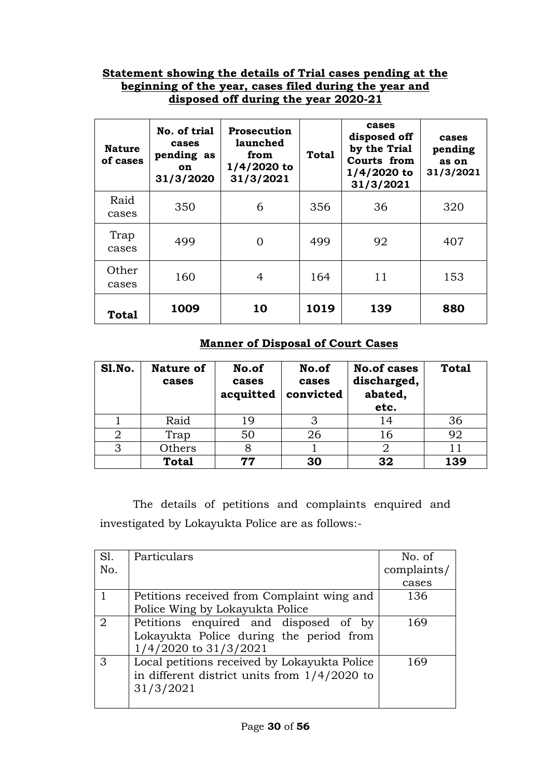#### **Statement showing the details of Trial cases pending at the beginning of the year, cases filed during the year and disposed off during the year 2020-21**

| <b>Nature</b><br>of cases | No. of trial<br>cases<br>pending as<br>on<br>31/3/2020 | <b>Prosecution</b><br>launched<br>from<br>$1/4/2020$ to<br>31/3/2021 | <b>Total</b> | cases<br>disposed off<br>by the Trial<br>Courts from<br>$1/4/2020$ to<br>31/3/2021 | cases<br>pending<br>as on<br>31/3/2021 |
|---------------------------|--------------------------------------------------------|----------------------------------------------------------------------|--------------|------------------------------------------------------------------------------------|----------------------------------------|
| Raid<br>cases             | 350                                                    | 6                                                                    | 356          | 36                                                                                 | 320                                    |
| Trap<br>cases             | 499                                                    | $\Omega$                                                             | 499          | 92                                                                                 | 407                                    |
| Other<br>cases            | 160                                                    | 4                                                                    | 164          | 11                                                                                 | 153                                    |
| <b>Total</b>              | 1009                                                   | 10                                                                   | 1019         | 139                                                                                | 880                                    |

## **Manner of Disposal of Court Cases**

| Sl.No. | <b>Nature of</b><br>cases | No.of<br>cases<br>acquitted | No.of<br>cases<br>convicted | <b>No.of cases</b><br>discharged,<br>abated,<br>etc. | <b>Total</b> |
|--------|---------------------------|-----------------------------|-----------------------------|------------------------------------------------------|--------------|
|        | Raid                      | 19                          |                             | 14                                                   | 36           |
| 2      | Trap                      | 50                          | 26                          | 16                                                   | 92           |
| 3      | Others                    |                             |                             |                                                      |              |
|        | <b>Total</b>              | 77                          | 30                          | 32                                                   | 139          |

The details of petitions and complaints enquired and investigated by Lokayukta Police are as follows:-

| Sl.            | Particulars                                    | No. of      |
|----------------|------------------------------------------------|-------------|
| No.            |                                                | complaints/ |
|                |                                                | cases       |
|                | Petitions received from Complaint wing and     | 136         |
|                | Police Wing by Lokayukta Police                |             |
| $\overline{2}$ | Petitions enquired and disposed of by          | 169         |
|                | Lokayukta Police during the period from        |             |
|                | 1/4/2020 to 31/3/2021                          |             |
| 3              | Local petitions received by Lokayukta Police   | 169         |
|                | in different district units from $1/4/2020$ to |             |
|                | 31/3/2021                                      |             |
|                |                                                |             |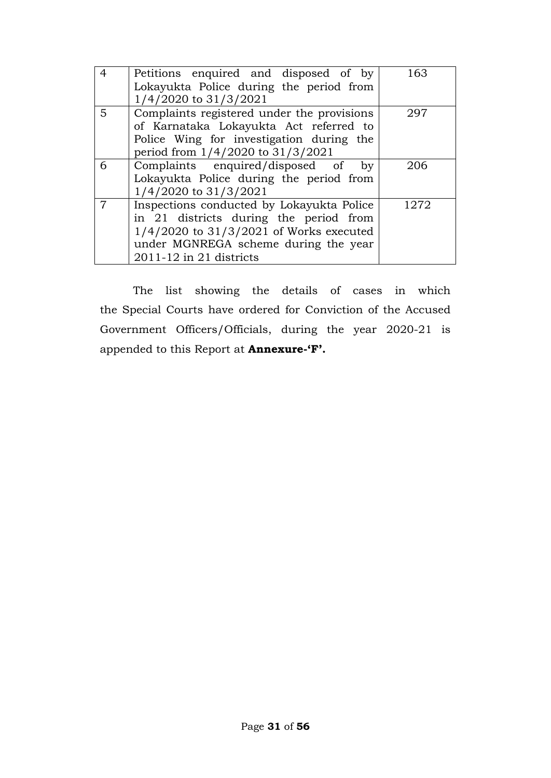| $\overline{4}$ | Petitions enquired and disposed of by<br>Lokayukta Police during the period from<br>1/4/2020 to 31/3/2021                                                                                                 | 163  |
|----------------|-----------------------------------------------------------------------------------------------------------------------------------------------------------------------------------------------------------|------|
| 5              | Complaints registered under the provisions<br>of Karnataka Lokayukta Act referred to<br>Police Wing for investigation during the<br>period from 1/4/2020 to 31/3/2021                                     | 297  |
| 6              | Complaints enquired/disposed of<br>by<br>Lokayukta Police during the period from<br>1/4/2020 to 31/3/2021                                                                                                 | 206  |
| 7              | Inspections conducted by Lokayukta Police<br>in 21 districts during the period from<br>$1/4/2020$ to $31/3/2021$ of Works executed<br>under MGNREGA scheme during the year<br>$2011 - 12$ in 21 districts | 1272 |

The list showing the details of cases in which the Special Courts have ordered for Conviction of the Accused Government Officers/Officials, during the year 2020-21 is appended to this Report at **Annexure-'F'.**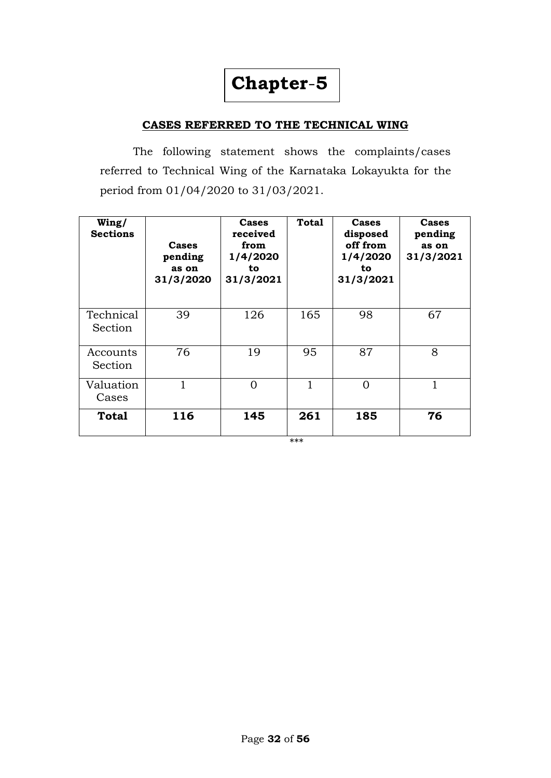# **Chapter**-**5**

#### **CASES REFERRED TO THE TECHNICAL WING**

The following statement shows the complaints/cases referred to Technical Wing of the Karnataka Lokayukta for the period from 01/04/2020 to 31/03/2021.

| Wing/<br><b>Sections</b> | Cases<br>pending<br>as on<br>31/3/2020 | Cases<br>received<br>from<br>1/4/2020<br>to.<br>31/3/2021 | Total | <b>Cases</b><br>disposed<br>off from<br>1/4/2020<br>to<br>31/3/2021 | Cases<br>pending<br>as on<br>31/3/2021 |
|--------------------------|----------------------------------------|-----------------------------------------------------------|-------|---------------------------------------------------------------------|----------------------------------------|
| Technical<br>Section     | 39                                     | 126                                                       | 165   | 98                                                                  | 67                                     |
| Accounts<br>Section      | 76                                     | 19                                                        | 95    | 87                                                                  | 8                                      |
| Valuation<br>Cases       |                                        | 0                                                         | 1     | $\Omega$                                                            | 1                                      |
| Total                    | 116                                    | 145                                                       | 261   | 185                                                                 | 76                                     |

\*\*\*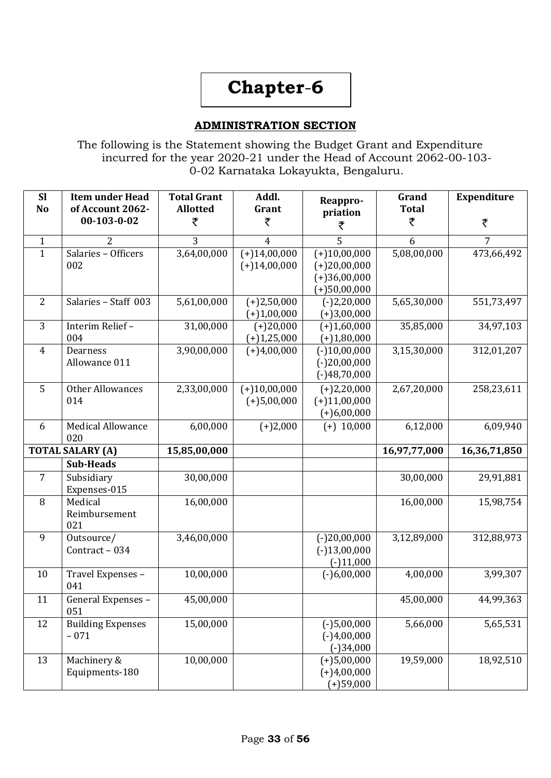# **Chapter**-**6**

#### **ADMINISTRATION SECTION**

The following is the Statement showing the Budget Grant and Expenditure incurred for the year 2020-21 under the Head of Account 2062-00-103- 0-02 Karnataka Lokayukta, Bengaluru.

| <b>Sl</b><br>N <sub>o</sub> | <b>Item under Head</b><br>of Account 2062- | <b>Total Grant</b><br><b>Allotted</b> | Addl.<br>Grant                   | Reappro-<br>priation                                                 | Grand<br><b>Total</b> | <b>Expenditure</b> |
|-----------------------------|--------------------------------------------|---------------------------------------|----------------------------------|----------------------------------------------------------------------|-----------------------|--------------------|
|                             | $00-103-0-02$                              | ₹                                     | ₹                                | ₹                                                                    | ₹                     | ₹                  |
| $\mathbf{1}$                | $\overline{2}$                             | 3                                     | $\overline{4}$                   | 5                                                                    | 6                     | $\overline{7}$     |
| $\mathbf{1}$                | Salaries - Officers<br>002                 | 3,64,00,000                           | $(+)14,00,000$<br>$(+)14,00,000$ | $(+)10,00,000$<br>$(+)20,00,000$<br>$(+)36,00,000$<br>$(+)50,00,000$ | 5,08,00,000           | 473,66,492         |
| 2                           | Salaries - Staff 003                       | 5,61,00,000                           | $(+)2,50,000$<br>$(+)1,00,000$   | $(-)2,20,000$<br>$(+)3,00,000$                                       | 5,65,30,000           | 551,73,497         |
| 3                           | Interim Relief-<br>004                     | 31,00,000                             | $(+)20,000$<br>$(+)1,25,000$     | $(+)1,60,000$<br>$(+)1,80,000$                                       | 35,85,000             | 34,97,103          |
| $\overline{4}$              | Dearness<br>Allowance 011                  | 3,90,00,000                           | $(+)4,00,000$                    | $(-)10,00,000$<br>$(-)20,00,000$<br>$(-)48,70,000$                   | 3,15,30,000           | 312,01,207         |
| 5                           | <b>Other Allowances</b><br>014             | 2,33,00,000                           | $(+)10,00,000$<br>$(+)5,00,000$  | $(+)2,20,000$<br>$(+)11,00,000$<br>$(+)6,00,000$                     | 2,67,20,000           | 258,23,611         |
| 6                           | <b>Medical Allowance</b><br>020            | 6,00,000                              | $(+)2,000$                       | $(+)$ 10,000                                                         | 6,12,000              | 6,09,940           |
|                             | <b>TOTAL SALARY (A)</b>                    | 15,85,00,000                          |                                  |                                                                      | 16,97,77,000          | 16,36,71,850       |
|                             | <b>Sub-Heads</b>                           |                                       |                                  |                                                                      |                       |                    |
| 7                           | Subsidiary<br>Expenses-015                 | 30,00,000                             |                                  |                                                                      | 30,00,000             | 29,91,881          |
| 8                           | Medical<br>Reimbursement<br>021            | 16,00,000                             |                                  |                                                                      | 16,00,000             | 15,98,754          |
| 9                           | Outsource/<br>Contract - 034               | 3,46,00,000                           |                                  | $(-)20,00,000$<br>$(-)13,00,000$<br>$(-)11,000$                      | 3,12,89,000           | 312,88,973         |
| 10                          | Travel Expenses -<br>041                   | 10,00,000                             |                                  | $(-)6,00,000$                                                        | 4,00,000              | 3,99,307           |
| 11                          | General Expenses -<br>051                  | 45,00,000                             |                                  |                                                                      | 45,00,000             | 44,99,363          |
| 12                          | <b>Building Expenses</b><br>$-071$         | 15,00,000                             |                                  | $(-)5,00,000$<br>$(-)4,00,000$<br>$(-)34,000$                        | 5,66,000              | 5,65,531           |
| 13                          | Machinery &<br>Equipments-180              | 10,00,000                             |                                  | $(+)5,00,000$<br>$(+)4,00,000$<br>$(+)59,000$                        | 19,59,000             | 18,92,510          |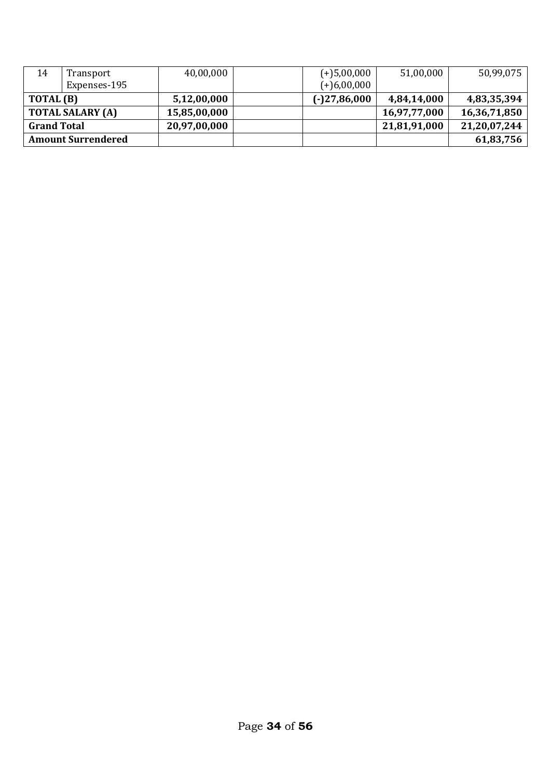| 14                      | Transport                 | 40,00,000    | $(+)$ 5,00,000 | 51,00,000    | 50,99,075    |
|-------------------------|---------------------------|--------------|----------------|--------------|--------------|
|                         | Expenses-195              |              | $(+)6,00,000$  |              |              |
| TOTAL (B)               |                           | 5,12,00,000  | $(-)27,86,000$ | 4,84,14,000  | 4,83,35,394  |
| <b>TOTAL SALARY (A)</b> |                           | 15,85,00,000 |                | 16,97,77,000 | 16,36,71,850 |
| <b>Grand Total</b>      |                           | 20,97,00,000 |                | 21,81,91,000 | 21,20,07,244 |
|                         | <b>Amount Surrendered</b> |              |                |              | 61,83,756    |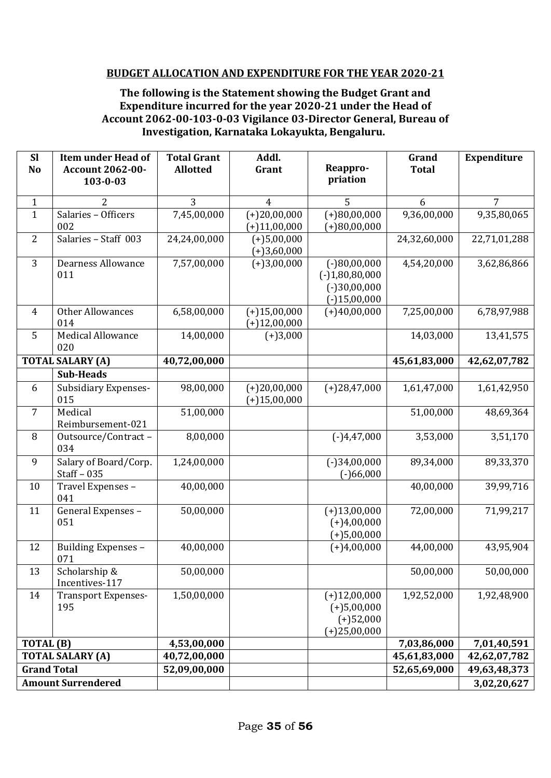#### **BUDGET ALLOCATION AND EXPENDITURE FOR THE YEAR 2020-21**

#### **The following is the Statement showing the Budget Grant and Expenditure incurred for the year 2020-21 under the Head of Account 2062-00-103-0-03 Vigilance 03-Director General, Bureau of Investigation, Karnataka Lokayukta, Bengaluru.**

| <b>Sl</b><br>N <sub>o</sub> | <b>Item under Head of</b><br><b>Account 2062-00-</b> | <b>Total Grant</b><br><b>Allotted</b> | Addl.<br>Grant                   | Reappro-                                                               | Grand<br><b>Total</b> | <b>Expenditure</b> |
|-----------------------------|------------------------------------------------------|---------------------------------------|----------------------------------|------------------------------------------------------------------------|-----------------------|--------------------|
|                             | 103-0-03                                             |                                       |                                  | priation                                                               |                       |                    |
| $\mathbf{1}$                | 2                                                    | 3                                     | 4                                | 5                                                                      | 6                     | 7                  |
| $\mathbf{1}$                | Salaries - Officers<br>002                           | 7,45,00,000                           | $(+)20,00,000$<br>$(+)11,00,000$ | $(+)80,00,000$<br>$(+)80,00,000$                                       | 9,36,00,000           | 9,35,80,065        |
| $\overline{2}$              | Salaries - Staff 003                                 | 24,24,00,000                          | $(+)5,00,000$<br>$(+)3,60,000$   |                                                                        | 24,32,60,000          | 22,71,01,288       |
| 3                           | <b>Dearness Allowance</b><br>011                     | 7,57,00,000                           | $(+)3,00,000$                    | $(-)80,00,000$<br>$(-)1,80,80,000$<br>$(-)30,00,000$<br>$(-)15,00,000$ | 4,54,20,000           | 3,62,86,866        |
| $\overline{4}$              | <b>Other Allowances</b><br>014                       | 6,58,00,000                           | $(+)15,00,000$<br>$(+)12,00,000$ | $(+)40,00,000$                                                         | 7,25,00,000           | 6,78,97,988        |
| 5                           | <b>Medical Allowance</b><br>020                      | 14,00,000                             | $(+)3,000$                       |                                                                        | 14,03,000             | 13,41,575          |
|                             | <b>TOTAL SALARY (A)</b>                              | 40,72,00,000                          |                                  |                                                                        | 45,61,83,000          | 42,62,07,782       |
|                             | <b>Sub-Heads</b>                                     |                                       |                                  |                                                                        |                       |                    |
| 6                           | <b>Subsidiary Expenses-</b><br>015                   | 98,00,000                             | $(+)20,00,000$<br>$(+)15,00,000$ | $(+)28,47,000$                                                         | 1,61,47,000           | 1,61,42,950        |
| $\overline{7}$              | Medical<br>Reimbursement-021                         | 51,00,000                             |                                  |                                                                        | 51,00,000             | 48,69,364          |
| 8                           | Outsource/Contract-<br>034                           | 8,00,000                              |                                  | $(-)4,47,000$                                                          | 3,53,000              | 3,51,170           |
| 9                           | Salary of Board/Corp.<br>Staff $-035$                | 1,24,00,000                           |                                  | $(-)34,00,000$<br>$(-)66,000$                                          | 89,34,000             | 89,33,370          |
| 10                          | Travel Expenses -<br>041                             | 40,00,000                             |                                  |                                                                        | 40,00,000             | 39,99,716          |
| 11                          | General Expenses -<br>051                            | 50,00,000                             |                                  | $(+)13,00,000$<br>$(+)4,00,000$<br>$(+)5,00,000$                       | 72,00,000             | 71,99,217          |
| 12                          | Building Expenses -<br>071                           | 40,00,000                             |                                  | $(+)4,00,000$                                                          | 44,00,000             | 43,95,904          |
| 13                          | Scholarship &<br>Incentives-117                      | 50,00,000                             |                                  |                                                                        | 50,00,000             | 50,00,000          |
| 14                          | <b>Transport Expenses-</b><br>195                    | 1,50,00,000                           |                                  | $(+)12,00,000$<br>$(+)5,00,000$<br>$(+)52,000$<br>$(+)25,00,000$       | 1,92,52,000           | 1,92,48,900        |
| TOTAL (B)                   |                                                      | 4,53,00,000                           |                                  |                                                                        | 7,03,86,000           | 7,01,40,591        |
|                             | <b>TOTAL SALARY (A)</b>                              | 40,72,00,000                          |                                  |                                                                        | 45,61,83,000          | 42,62,07,782       |
| <b>Grand Total</b>          |                                                      | 52,09,00,000                          |                                  |                                                                        | 52,65,69,000          | 49,63,48,373       |
|                             | <b>Amount Surrendered</b>                            |                                       |                                  |                                                                        |                       | 3,02,20,627        |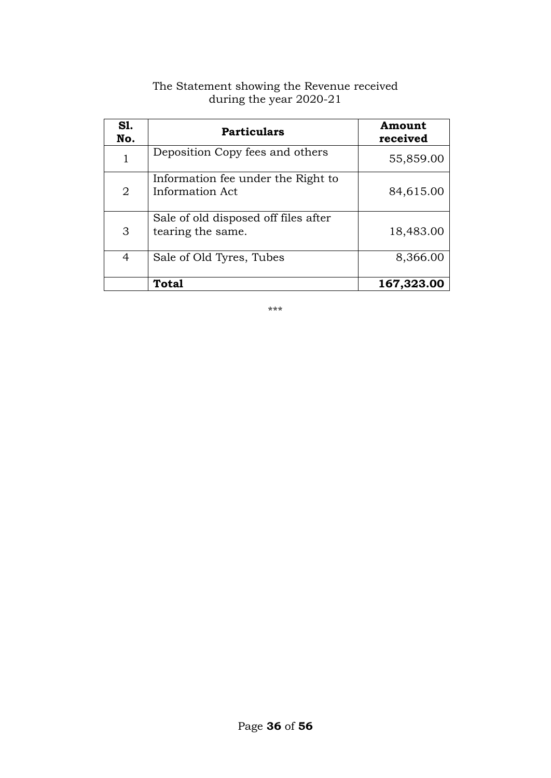| <b>S1.</b><br>No. | <b>Particulars</b>                                        | Amount<br>received |
|-------------------|-----------------------------------------------------------|--------------------|
| 1                 | Deposition Copy fees and others                           | 55,859.00          |
| $\overline{2}$    | Information fee under the Right to<br>Information Act     | 84,615.00          |
| 3                 | Sale of old disposed off files after<br>tearing the same. | 18,483.00          |
| 4                 | Sale of Old Tyres, Tubes                                  | 8,366.00           |
|                   | Total                                                     | 167,323.00         |

#### The Statement showing the Revenue received during the year 2020-21

\*\*\*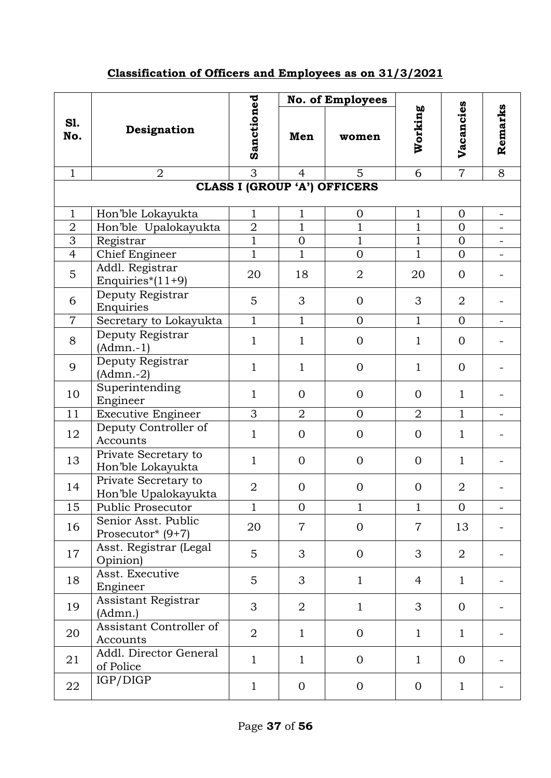## **Classification of Officers and Employees as on 31/3/2021**

|                                     |                                              |                |                | No. of Employees |                |                |         |  |  |
|-------------------------------------|----------------------------------------------|----------------|----------------|------------------|----------------|----------------|---------|--|--|
| <b>S1.</b><br>No.                   | Designation                                  | Sanctioned     | Men            | women            | Working        | Vacancies      | Remarks |  |  |
| $\mathbf{1}$                        | $\overline{2}$                               | 3              | 4              | 5                | 6              | $\overline{7}$ | 8       |  |  |
| <b>CLASS I (GROUP 'A') OFFICERS</b> |                                              |                |                |                  |                |                |         |  |  |
| $\mathbf{1}$                        | Hon'ble Lokayukta                            | $\mathbf{1}$   | $\mathbf{1}$   | $\overline{0}$   | $\mathbf{1}$   | $\mathbf{0}$   | ۰       |  |  |
| $\overline{2}$                      | Hon'ble Upalokayukta                         | $\overline{2}$ | $\mathbf{1}$   | $\mathbf{1}$     | $\mathbf{1}$   | $\overline{0}$ |         |  |  |
| 3                                   | Registrar                                    | $\mathbf{1}$   | $\mathbf{0}$   | $\mathbf{1}$     | $\mathbf{1}$   | $\Omega$       |         |  |  |
| $\overline{4}$                      | <b>Chief Engineer</b>                        | $\mathbf{1}$   | $\mathbf{1}$   | $\overline{0}$   | $\mathbf{1}$   | $\overline{0}$ |         |  |  |
| 5                                   | Addl. Registrar<br>Enquiries* $(11+9)$       | 20             | 18             | $\boldsymbol{2}$ | 20             | $\Omega$       |         |  |  |
| 6                                   | Deputy Registrar<br>Enquiries                | 5              | 3              | $\overline{0}$   | 3              | $\overline{2}$ |         |  |  |
| $\overline{7}$                      | Secretary to Lokayukta                       | $\overline{1}$ | $\mathbf{1}$   | $\overline{0}$   | $\mathbf{1}$   | $\overline{0}$ |         |  |  |
| 8                                   | Deputy Registrar<br>$(Admn.-1)$              | $\mathbf{1}$   | $\mathbf{1}$   | $\theta$         | $\mathbf{1}$   | $\mathbf{0}$   |         |  |  |
| 9                                   | Deputy Registrar<br>$(Admn.-2)$              | $\mathbf{1}$   | $\mathbf{1}$   | $\Omega$         | $\mathbf{1}$   | $\mathbf{0}$   |         |  |  |
| 10                                  | Superintending<br>Engineer                   | $\mathbf{1}$   | $\Omega$       | $\Omega$         | $\Omega$       | $\mathbf{1}$   |         |  |  |
| 11                                  | <b>Executive Engineer</b>                    | 3              | $\overline{2}$ | $\overline{0}$   | $\overline{2}$ | $\mathbf{1}$   |         |  |  |
| 12                                  | Deputy Controller of<br>Accounts             | $\mathbf{1}$   | $\overline{0}$ | $\Omega$         | $\overline{0}$ | $\mathbf{1}$   |         |  |  |
| 13                                  | Private Secretary to<br>Hon'ble Lokayukta    | $\mathbf{1}$   | $\Omega$       | $\overline{0}$   | $\Omega$       | $\mathbf{1}$   |         |  |  |
| 14                                  | Private Secretary to<br>Hon'ble Upalokayukta | $\overline{2}$ | $\overline{0}$ | $\overline{0}$   | $\mathbf{0}$   | $\overline{2}$ |         |  |  |
| 15                                  | Public Prosecutor                            | 1              | $\mathbf{0}$   | T                | 1              | $\mathbf{0}$   |         |  |  |
| 16                                  | Senior Asst. Public<br>Prosecutor* (9+7)     | 20             | $\overline{7}$ | $\overline{0}$   | $\overline{7}$ | 13             |         |  |  |
| 17                                  | Asst. Registrar (Legal<br>Opinion)           | 5              | 3              | $\overline{0}$   | 3              | $\overline{2}$ |         |  |  |
| 18                                  | Asst. Executive<br>Engineer                  | 5              | 3              | $\mathbf{1}$     | $\overline{4}$ | $\mathbf{1}$   |         |  |  |
| 19                                  | Assistant Registrar<br>(Admn.)               | 3              | $\overline{2}$ | $\mathbf{1}$     | 3              | $\overline{0}$ |         |  |  |
| 20                                  | Assistant Controller of<br>Accounts          | $\overline{2}$ | $\mathbf{1}$   | $\overline{0}$   | $\mathbf{1}$   | $\mathbf{1}$   |         |  |  |
| 21                                  | Addl. Director General<br>of Police          | $\mathbf{1}$   | $\mathbf{1}$   | $\overline{0}$   | $\mathbf{1}$   | $\overline{0}$ |         |  |  |
| 22                                  | IGP/DIGP                                     | $\mathbf{1}$   | $\mathbf{0}$   | $\mathbf{0}$     | $\overline{0}$ | $\mathbf{1}$   |         |  |  |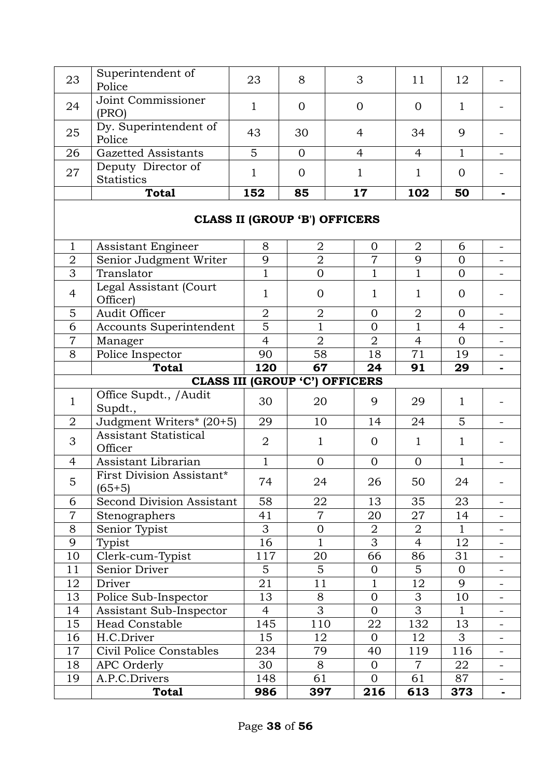| 23                                    | Superintendent of                       | 23             | 8                | 3                                    | 11             | 12             |                |
|---------------------------------------|-----------------------------------------|----------------|------------------|--------------------------------------|----------------|----------------|----------------|
|                                       | Police                                  |                |                  |                                      |                |                |                |
| 24                                    | Joint Commissioner                      | $\mathbf{1}$   | $\Omega$         | $\overline{0}$                       | $\Omega$       | $\mathbf{1}$   |                |
|                                       | (PRO)                                   |                |                  |                                      |                |                |                |
| 25                                    | Dy. Superintendent of                   | 43             | 30               | $\overline{4}$                       | 34             | 9              |                |
| 26                                    | Police<br><b>Gazetted Assistants</b>    | 5              | $\overline{0}$   | $\overline{4}$                       | $\overline{4}$ | $\mathbf{1}$   |                |
|                                       | Deputy Director of                      |                |                  |                                      |                |                |                |
| 27                                    | <b>Statistics</b>                       | 1              | $\Omega$         | 1                                    | 1              | $\overline{0}$ |                |
|                                       | <b>Total</b>                            | 152            | 85               | 17                                   | 102            | 50             |                |
|                                       |                                         |                |                  |                                      |                |                |                |
|                                       |                                         |                |                  | <b>CLASS II (GROUP 'B') OFFICERS</b> |                |                |                |
| $\mathbf{1}$                          | Assistant Engineer                      | 8              | $\overline{2}$   | $\mathbf{0}$                         | $\overline{2}$ | 6              | $\blacksquare$ |
| $\overline{2}$                        | Senior Judgment Writer                  | 9              | $\overline{2}$   | $\overline{7}$                       | 9              | $\overline{0}$ |                |
| $\overline{3}$                        | Translator                              | $\mathbf{1}$   | $\overline{0}$   | $\mathbf{1}$                         | $\mathbf{1}$   | $\overline{0}$ |                |
| $\overline{4}$                        | Legal Assistant (Court<br>Officer)      | 1              | $\overline{0}$   | $\mathbf{1}$                         | $\mathbf{1}$   | $\overline{0}$ |                |
| 5                                     | Audit Officer                           | $\overline{2}$ | $\overline{2}$   | $\overline{0}$                       | $\overline{2}$ | $\Omega$       |                |
| 6                                     | Accounts Superintendent                 | 5              | $\mathbf{1}$     | $\overline{0}$                       | $\mathbf{1}$   | $\overline{4}$ |                |
| $\overline{7}$                        | Manager                                 | $\overline{4}$ | $\overline{2}$   | $\overline{2}$                       | $\overline{4}$ | $\overline{0}$ |                |
| 8                                     | Police Inspector                        | 90             | 58               | 18                                   | 71             | 19             |                |
|                                       | <b>Total</b>                            | 120            | 67               | 24                                   | 91             | 29             | ٠              |
| <b>CLASS III (GROUP 'C') OFFICERS</b> |                                         |                |                  |                                      |                |                |                |
| $\mathbf{1}$                          | Office Supdt., / Audit<br>Supdt.,       | 30             | 20               | 9                                    | 29             | $\mathbf{1}$   |                |
| $\overline{2}$                        | Judgment Writers* (20+5)                | 29             | 10               | 14                                   | 24             | 5              |                |
| 3                                     | <b>Assistant Statistical</b><br>Officer | $\overline{2}$ | $\mathbf{1}$     | $\overline{0}$                       | $\mathbf{1}$   | $\mathbf{1}$   |                |
| 4                                     | Assistant Librarian                     | $\mathbf{1}$   | $\overline{0}$   | $\overline{0}$                       | $\overline{0}$ | 1              | $\blacksquare$ |
| $\mathbf 5$                           | First Division Assistant*<br>$(65+5)$   | 74             | 24               | 26                                   | 50             | 24             |                |
| 6                                     | Second Division Assistant               | 58             | 22               | 13                                   | 35             | 23             |                |
| $\overline{7}$                        | Stenographers                           | 41             | $\overline{7}$   | 20                                   | 27             | 14             |                |
| 8                                     | Senior Typist                           | 3              | $\boldsymbol{0}$ | $\overline{2}$                       | $\overline{2}$ | $\mathbf{1}$   |                |
| 9                                     | Typist                                  | 16             | $\mathbf{1}$     | $\overline{3}$                       | $\overline{4}$ | 12             |                |
| 10                                    | Clerk-cum-Typist                        | 117            | 20               | 66                                   | 86             | 31             |                |
| 11                                    | Senior Driver                           | 5              | 5                | $\boldsymbol{0}$                     | 5              | $\overline{O}$ |                |
| 12                                    | Driver                                  | 21             | 11               | $\mathbf{1}$                         | 12             | 9              | $\blacksquare$ |
| 13                                    | Police Sub-Inspector                    | 13             | 8                | $\overline{0}$                       | 3              | 10             |                |
| 14                                    | Assistant Sub-Inspector                 | $\overline{4}$ | 3                | $\overline{0}$                       | 3              | $\mathbf{1}$   |                |
| 15                                    | <b>Head Constable</b>                   | 145            | 110              | 22                                   | 132            | 13             |                |
| 16                                    | H.C.Driver                              | 15             | 12               | $\overline{0}$                       | 12             | 3              |                |
| 17                                    | Civil Police Constables                 | 234            | 79               | 40                                   | 119            | 116            | $\blacksquare$ |
| 18                                    | APC Orderly                             | 30             | 8                | $\overline{0}$                       | $\overline{7}$ | 22             |                |
| 19                                    | A.P.C.Drivers                           | 148            | 61               | $\overline{0}$                       | 61             | 87             | $\blacksquare$ |
|                                       | <b>Total</b>                            | 986            | 397              | 216                                  | 613            | 373            | $\blacksquare$ |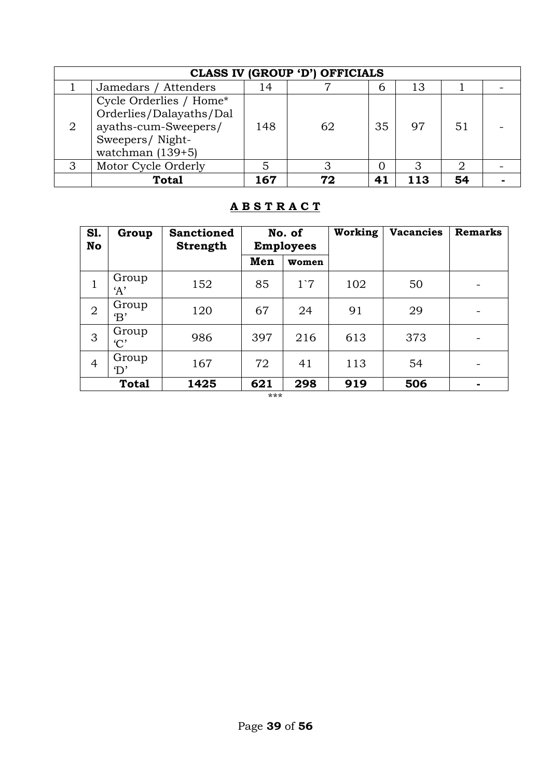| <b>CLASS IV (GROUP 'D') OFFICIALS</b> |                                                                                                                     |     |    |    |     |    |  |
|---------------------------------------|---------------------------------------------------------------------------------------------------------------------|-----|----|----|-----|----|--|
|                                       | Jamedars / Attenders                                                                                                | 14  |    | 6  | 13  |    |  |
| $\overline{2}$                        | Cycle Orderlies / Home*<br>Orderlies/Dalayaths/Dal<br>ayaths-cum-Sweepers/<br>Sweepers/Night-<br>watchman $(139+5)$ | 148 | 62 | 35 | 97  | 51 |  |
| 3                                     | Motor Cycle Orderly                                                                                                 |     |    | 0  |     |    |  |
|                                       | <b>Total</b>                                                                                                        | 167 | 72 | 41 | 113 | 54 |  |

#### **A B S T R A C T**

| <b>S1.</b><br><b>No</b> | Group                  | <b>Sanctioned</b><br><b>Strength</b> | No. of<br><b>Employees</b> |              | Working | <b>Vacancies</b> | <b>Remarks</b>           |
|-------------------------|------------------------|--------------------------------------|----------------------------|--------------|---------|------------------|--------------------------|
|                         |                        |                                      | Men                        | <b>Women</b> |         |                  |                          |
| 1                       | Group<br>A'            | 152                                  | 85                         | $1^{\circ}7$ | 102     | 50               |                          |
| $\overline{2}$          | Group<br>$\mathbf{B}'$ | 120                                  | 67                         | 24           | 91      | 29               | $\overline{\phantom{0}}$ |
| 3                       | Group<br>C'            | 986                                  | 397                        | 216          | 613     | 373              |                          |
| $\overline{4}$          | Group<br>$\rm D'$      | 167                                  | 72                         | 41           | 113     | 54               |                          |
|                         | <b>Total</b>           | 1425                                 | 621                        | 298          | 919     | 506              | ۰.                       |

\*\*\*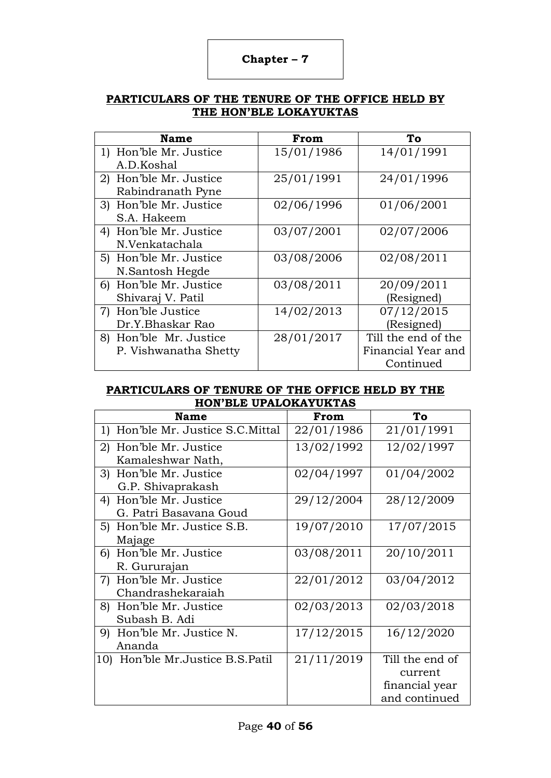### **Chapter – 7**

#### **PARTICULARS OF THE TENURE OF THE OFFICE HELD BY THE HON'BLE LOKAYUKTAS**

| <b>Name</b>            | From       | To                  |
|------------------------|------------|---------------------|
| 1) Hon'ble Mr. Justice | 15/01/1986 | 14/01/1991          |
| A.D.Koshal             |            |                     |
| 2) Hon'ble Mr. Justice | 25/01/1991 | 24/01/1996          |
| Rabindranath Pyne      |            |                     |
| 3) Hon'ble Mr. Justice | 02/06/1996 | 01/06/2001          |
| S.A. Hakeem            |            |                     |
| 4) Hon'ble Mr. Justice | 03/07/2001 | 02/07/2006          |
| N.Venkatachala         |            |                     |
| 5) Hon'ble Mr. Justice | 03/08/2006 | 02/08/2011          |
| N.Santosh Hegde        |            |                     |
| 6) Hon'ble Mr. Justice | 03/08/2011 | 20/09/2011          |
| Shivaraj V. Patil      |            | (Resigned)          |
| 7) Hon'ble Justice     | 14/02/2013 | 07/12/2015          |
| Dr.Y.Bhaskar Rao       |            | (Resigned)          |
| 8) Hon'ble Mr. Justice | 28/01/2017 | Till the end of the |
| P. Vishwanatha Shetty  |            | Financial Year and  |
|                        |            | Continued           |

#### **PARTICULARS OF TENURE OF THE OFFICE HELD BY THE HON'BLE UPALOKAYUKTAS**

| Name                               | From       | To              |
|------------------------------------|------------|-----------------|
| 1) Hon'ble Mr. Justice S.C. Mittal | 22/01/1986 | 21/01/1991      |
| 2) Hon'ble Mr. Justice             | 13/02/1992 | 12/02/1997      |
| Kamaleshwar Nath,                  |            |                 |
| 3) Hon'ble Mr. Justice             | 02/04/1997 | 01/04/2002      |
| G.P. Shivaprakash                  |            |                 |
| 4) Hon'ble Mr. Justice             | 29/12/2004 | 28/12/2009      |
| G. Patri Basavana Goud             |            |                 |
| 5) Hon'ble Mr. Justice S.B.        | 19/07/2010 | 17/07/2015      |
| Majage                             |            |                 |
| 6) Hon'ble Mr. Justice             | 03/08/2011 | 20/10/2011      |
| R. Gururajan                       |            |                 |
| 7) Hon'ble Mr. Justice             | 22/01/2012 | 03/04/2012      |
| Chandrashekaraiah                  |            |                 |
| 8) Hon'ble Mr. Justice             | 02/03/2013 | 02/03/2018      |
| Subash B. Adi                      |            |                 |
| Hon'ble Mr. Justice N.<br>9)       | 17/12/2015 | 16/12/2020      |
| Ananda                             |            |                 |
| 10) Hon'ble Mr.Justice B.S.Patil   | 21/11/2019 | Till the end of |
|                                    |            | current         |
|                                    |            | financial year  |
|                                    |            | and continued   |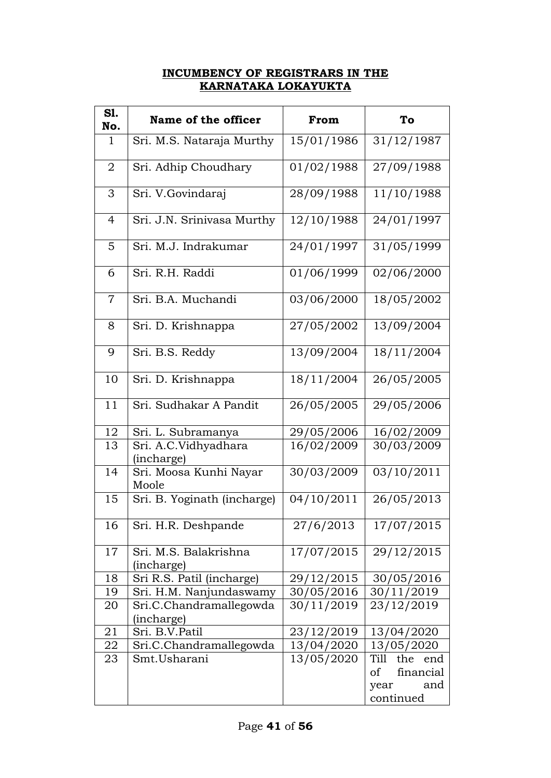#### **INCUMBENCY OF REGISTRARS IN THE KARNATAKA LOKAYUKTA**

| S1.<br>No.     | Name of the officer                   | From       | To                                                                |
|----------------|---------------------------------------|------------|-------------------------------------------------------------------|
| $\mathbf{1}$   | Sri. M.S. Nataraja Murthy             | 15/01/1986 | 31/12/1987                                                        |
| 2              | Sri. Adhip Choudhary                  | 01/02/1988 | 27/09/1988                                                        |
| 3              | Sri. V.Govindaraj                     | 28/09/1988 | 11/10/1988                                                        |
| $\overline{4}$ | Sri. J.N. Srinivasa Murthy            | 12/10/1988 | 24/01/1997                                                        |
| 5              | Sri. M.J. Indrakumar                  | 24/01/1997 | 31/05/1999                                                        |
| 6              | Sri. R.H. Raddi                       | 01/06/1999 | 02/06/2000                                                        |
| $\overline{7}$ | Sri. B.A. Muchandi                    | 03/06/2000 | 18/05/2002                                                        |
| 8              | Sri. D. Krishnappa                    | 27/05/2002 | 13/09/2004                                                        |
| 9              | Sri. B.S. Reddy                       | 13/09/2004 | 18/11/2004                                                        |
| 10             | Sri. D. Krishnappa                    | 18/11/2004 | 26/05/2005                                                        |
| 11             | Sri. Sudhakar A Pandit                | 26/05/2005 | 29/05/2006                                                        |
| 12             | Sri. L. Subramanya                    | 29/05/2006 | 16/02/2009                                                        |
| 13             | Sri. A.C.Vidhyadhara<br>(incharge)    | 16/02/2009 | 30/03/2009                                                        |
| 14             | Sri. Moosa Kunhi Nayar<br>Moole       | 30/03/2009 | 03/10/2011                                                        |
| 15             | Sri. B. Yoginath (incharge)           | 04/10/2011 | 26/05/2013                                                        |
| 16             | Sri. H.R. Deshpande                   | 27/6/2013  | 17/07/2015                                                        |
| 17             | Sri. M.S. Balakrishna<br>(incharge)   | 17/07/2015 | 29/12/2015                                                        |
| 18             | Sri R.S. Patil (incharge)             | 29/12/2015 | 30/05/2016                                                        |
| 19             | Sri. H.M. Nanjundaswamy               | 30/05/2016 | 30/11/2019                                                        |
| 20             | Sri.C.Chandramallegowda<br>(incharge) | 30/11/2019 | 23/12/2019                                                        |
| 21             | Sri. B.V.Patil                        | 23/12/2019 | 13/04/2020                                                        |
| 22             | Sri.C.Chandramallegowda               | 13/04/2020 | 13/05/2020                                                        |
| 23             | Smt.Usharani                          | 13/05/2020 | Till<br>the<br>end<br>financial<br>οf<br>and<br>year<br>continued |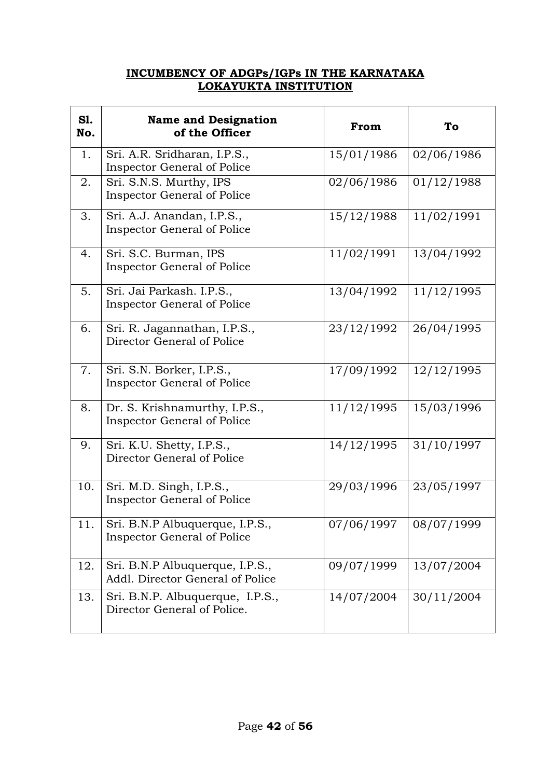#### **INCUMBENCY OF ADGPs/IGPs IN THE KARNATAKA LOKAYUKTA INSTITUTION**

| <b>S1.</b><br>No. | <b>Name and Designation</b><br>of the Officer                         | From       | To         |
|-------------------|-----------------------------------------------------------------------|------------|------------|
| 1.                | Sri. A.R. Sridharan, I.P.S.,<br><b>Inspector General of Police</b>    | 15/01/1986 | 02/06/1986 |
| 2.                | Sri. S.N.S. Murthy, IPS<br>Inspector General of Police                | 02/06/1986 | 01/12/1988 |
| 3.                | Sri. A.J. Anandan, I.P.S.,<br><b>Inspector General of Police</b>      | 15/12/1988 | 11/02/1991 |
| 4.                | Sri. S.C. Burman, IPS<br><b>Inspector General of Police</b>           | 11/02/1991 | 13/04/1992 |
| 5.                | Sri. Jai Parkash. I.P.S.,<br><b>Inspector General of Police</b>       | 13/04/1992 | 11/12/1995 |
| 6.                | Sri. R. Jagannathan, I.P.S.,<br>Director General of Police            | 23/12/1992 | 26/04/1995 |
| 7.                | Sri. S.N. Borker, I.P.S.,<br><b>Inspector General of Police</b>       | 17/09/1992 | 12/12/1995 |
| 8.                | Dr. S. Krishnamurthy, I.P.S.,<br>Inspector General of Police          | 11/12/1995 | 15/03/1996 |
| 9.                | Sri. K.U. Shetty, I.P.S.,<br>Director General of Police               | 14/12/1995 | 31/10/1997 |
| 10.               | Sri. M.D. Singh, I.P.S.,<br><b>Inspector General of Police</b>        | 29/03/1996 | 23/05/1997 |
| 11.               | Sri. B.N.P Albuquerque, I.P.S.,<br><b>Inspector General of Police</b> | 07/06/1997 | 08/07/1999 |
| 12.               | Sri. B.N.P Albuquerque, I.P.S.,<br>Addl. Director General of Police   | 09/07/1999 | 13/07/2004 |
| 13.               | Sri. B.N.P. Albuquerque, I.P.S.,<br>Director General of Police.       | 14/07/2004 | 30/11/2004 |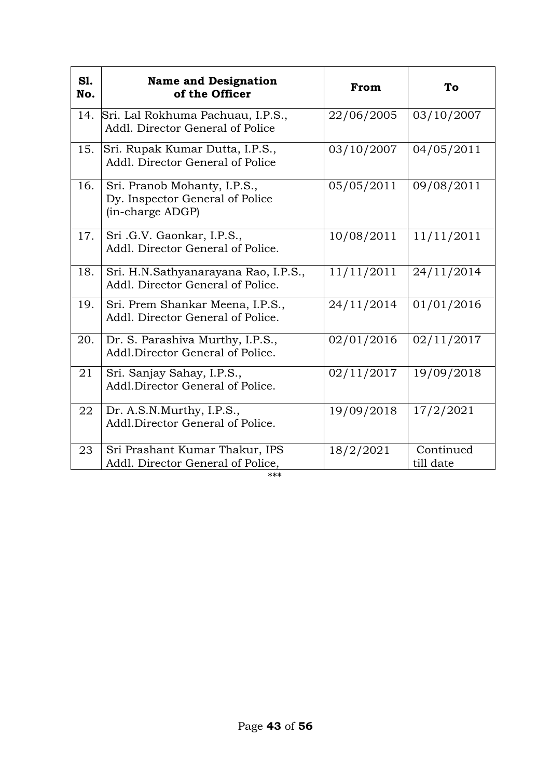| S1.<br>No. | <b>Name and Designation</b><br>of the Officer                                       | From       | To                     |
|------------|-------------------------------------------------------------------------------------|------------|------------------------|
| 14.        | Sri. Lal Rokhuma Pachuau, I.P.S.,<br>Addl. Director General of Police               | 22/06/2005 | 03/10/2007             |
| 15.        | Sri. Rupak Kumar Dutta, I.P.S.,<br>Addl. Director General of Police                 | 03/10/2007 | 04/05/2011             |
| 16.        | Sri. Pranob Mohanty, I.P.S.,<br>Dy. Inspector General of Police<br>(in-charge ADGP) | 05/05/2011 | 09/08/2011             |
| 17.        | Sri .G.V. Gaonkar, I.P.S.,<br>Addl. Director General of Police.                     | 10/08/2011 | 11/11/2011             |
| 18.        | Sri. H.N.Sathyanarayana Rao, I.P.S.,<br>Addl. Director General of Police.           | 11/11/2011 | 24/11/2014             |
| 19.        | Sri. Prem Shankar Meena, I.P.S.,<br>Addl. Director General of Police.               | 24/11/2014 | 01/01/2016             |
| 20.        | Dr. S. Parashiva Murthy, I.P.S.,<br>Addl.Director General of Police.                | 02/01/2016 | 02/11/2017             |
| 21         | Sri. Sanjay Sahay, I.P.S.,<br>Addl.Director General of Police.                      | 02/11/2017 | 19/09/2018             |
| 22         | Dr. A.S.N.Murthy, I.P.S.,<br>Addl.Director General of Police.                       | 19/09/2018 | 17/2/2021              |
| 23         | Sri Prashant Kumar Thakur, IPS<br>Addl. Director General of Police,                 | 18/2/2021  | Continued<br>till date |

$$
^{***}
$$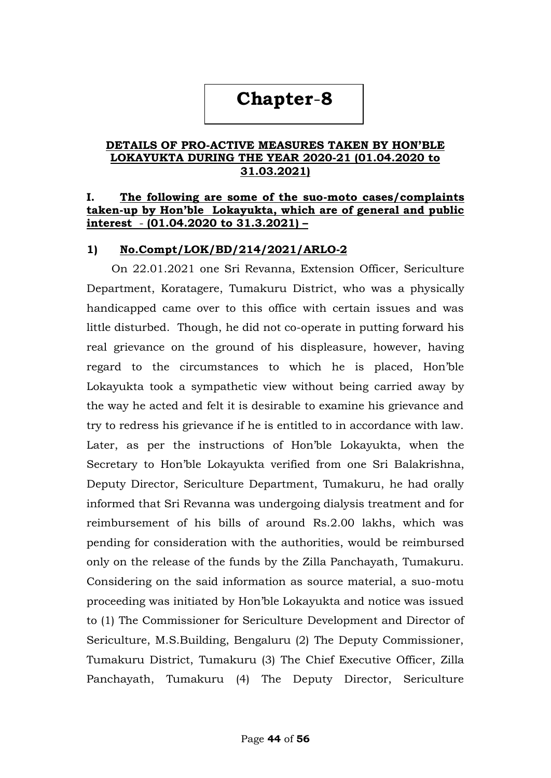# **Chapter**-**8**

#### **DETAILS OF PRO-ACTIVE MEASURES TAKEN BY HON'BLE LOKAYUKTA DURING THE YEAR 2020-21 (01.04.2020 to 31.03.2021)**

#### **I. The following are some of the suo-moto cases/complaints taken-up by Hon'ble Lokayukta, which are of general and public interest** - **(01.04.2020 to 31.3.2021) –**

#### **1) No.Compt/LOK/BD/214/2021/ARLO-2**

 On 22.01.2021 one Sri Revanna, Extension Officer, Sericulture Department, Koratagere, Tumakuru District, who was a physically handicapped came over to this office with certain issues and was little disturbed. Though, he did not co-operate in putting forward his real grievance on the ground of his displeasure, however, having regard to the circumstances to which he is placed, Hon"ble Lokayukta took a sympathetic view without being carried away by the way he acted and felt it is desirable to examine his grievance and try to redress his grievance if he is entitled to in accordance with law. Later, as per the instructions of Hon"ble Lokayukta, when the Secretary to Hon"ble Lokayukta verified from one Sri Balakrishna, Deputy Director, Sericulture Department, Tumakuru, he had orally informed that Sri Revanna was undergoing dialysis treatment and for reimbursement of his bills of around Rs.2.00 lakhs, which was pending for consideration with the authorities, would be reimbursed only on the release of the funds by the Zilla Panchayath, Tumakuru. Considering on the said information as source material, a suo-motu proceeding was initiated by Hon"ble Lokayukta and notice was issued to (1) The Commissioner for Sericulture Development and Director of Sericulture, M.S.Building, Bengaluru (2) The Deputy Commissioner, Tumakuru District, Tumakuru (3) The Chief Executive Officer, Zilla Panchayath, Tumakuru (4) The Deputy Director, Sericulture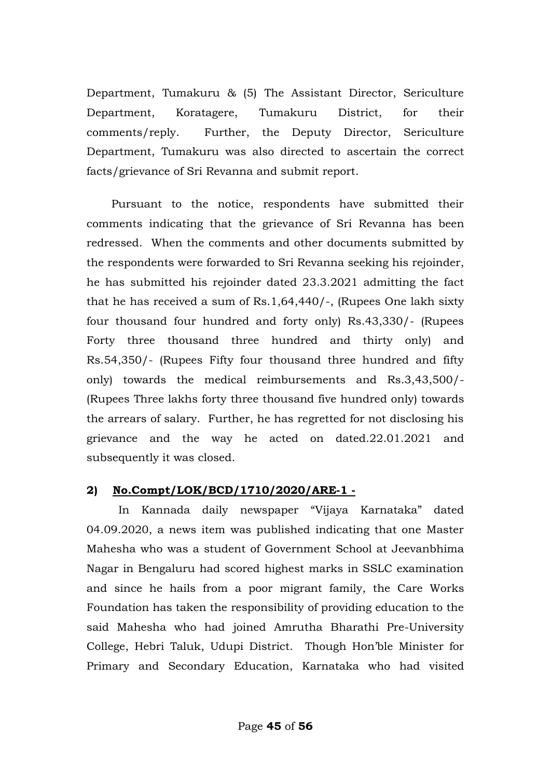Department, Tumakuru & (5) The Assistant Director, Sericulture Department, Koratagere, Tumakuru District, for their comments/reply. Further, the Deputy Director, Sericulture Department, Tumakuru was also directed to ascertain the correct facts/grievance of Sri Revanna and submit report.

 Pursuant to the notice, respondents have submitted their comments indicating that the grievance of Sri Revanna has been redressed. When the comments and other documents submitted by the respondents were forwarded to Sri Revanna seeking his rejoinder, he has submitted his rejoinder dated 23.3.2021 admitting the fact that he has received a sum of Rs.1,64,440/-, (Rupees One lakh sixty four thousand four hundred and forty only) Rs.43,330/- (Rupees Forty three thousand three hundred and thirty only) and Rs.54,350/- (Rupees Fifty four thousand three hundred and fifty only) towards the medical reimbursements and Rs.3,43,500/- (Rupees Three lakhs forty three thousand five hundred only) towards the arrears of salary. Further, he has regretted for not disclosing his grievance and the way he acted on dated.22.01.2021 and subsequently it was closed.

#### **2) No.Compt/LOK/BCD/1710/2020/ARE-1 -**

 In Kannada daily newspaper "Vijaya Karnataka" dated 04.09.2020, a news item was published indicating that one Master Mahesha who was a student of Government School at Jeevanbhima Nagar in Bengaluru had scored highest marks in SSLC examination and since he hails from a poor migrant family, the Care Works Foundation has taken the responsibility of providing education to the said Mahesha who had joined Amrutha Bharathi Pre-University College, Hebri Taluk, Udupi District. Though Hon"ble Minister for Primary and Secondary Education, Karnataka who had visited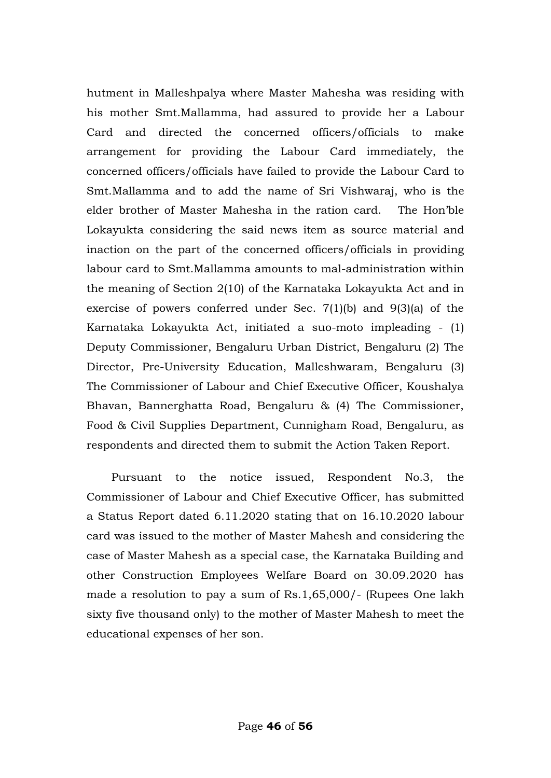hutment in Malleshpalya where Master Mahesha was residing with his mother Smt.Mallamma, had assured to provide her a Labour Card and directed the concerned officers/officials to make arrangement for providing the Labour Card immediately, the concerned officers/officials have failed to provide the Labour Card to Smt.Mallamma and to add the name of Sri Vishwaraj, who is the elder brother of Master Mahesha in the ration card. The Hon"ble Lokayukta considering the said news item as source material and inaction on the part of the concerned officers/officials in providing labour card to Smt.Mallamma amounts to mal-administration within the meaning of Section 2(10) of the Karnataka Lokayukta Act and in exercise of powers conferred under Sec. 7(1)(b) and 9(3)(a) of the Karnataka Lokayukta Act, initiated a suo-moto impleading - (1) Deputy Commissioner, Bengaluru Urban District, Bengaluru (2) The Director, Pre-University Education, Malleshwaram, Bengaluru (3) The Commissioner of Labour and Chief Executive Officer, Koushalya Bhavan, Bannerghatta Road, Bengaluru & (4) The Commissioner, Food & Civil Supplies Department, Cunnigham Road, Bengaluru, as respondents and directed them to submit the Action Taken Report.

 Pursuant to the notice issued, Respondent No.3, the Commissioner of Labour and Chief Executive Officer, has submitted a Status Report dated 6.11.2020 stating that on 16.10.2020 labour card was issued to the mother of Master Mahesh and considering the case of Master Mahesh as a special case, the Karnataka Building and other Construction Employees Welfare Board on 30.09.2020 has made a resolution to pay a sum of Rs.1,65,000/- (Rupees One lakh sixty five thousand only) to the mother of Master Mahesh to meet the educational expenses of her son.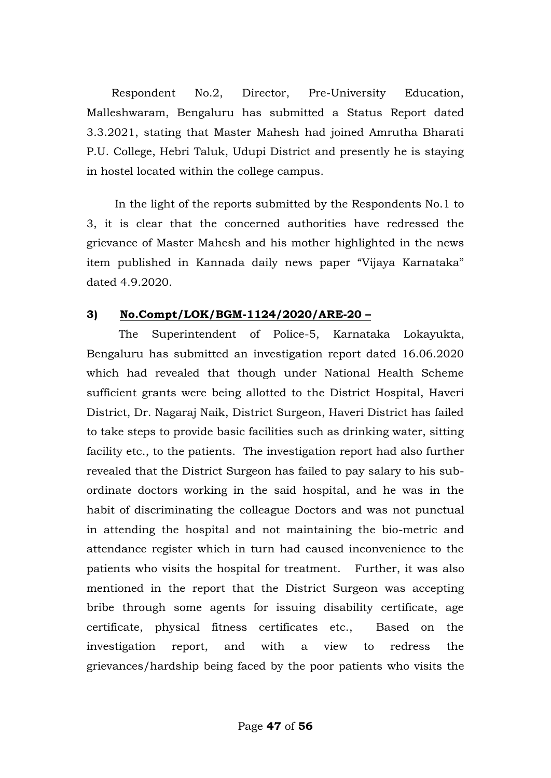Respondent No.2, Director, Pre-University Education, Malleshwaram, Bengaluru has submitted a Status Report dated 3.3.2021, stating that Master Mahesh had joined Amrutha Bharati P.U. College, Hebri Taluk, Udupi District and presently he is staying in hostel located within the college campus.

 In the light of the reports submitted by the Respondents No.1 to 3, it is clear that the concerned authorities have redressed the grievance of Master Mahesh and his mother highlighted in the news item published in Kannada daily news paper "Vijaya Karnataka" dated 4.9.2020.

#### **3) No.Compt/LOK/BGM-1124/2020/ARE-20 –**

 The Superintendent of Police-5, Karnataka Lokayukta, Bengaluru has submitted an investigation report dated 16.06.2020 which had revealed that though under National Health Scheme sufficient grants were being allotted to the District Hospital, Haveri District, Dr. Nagaraj Naik, District Surgeon, Haveri District has failed to take steps to provide basic facilities such as drinking water, sitting facility etc., to the patients. The investigation report had also further revealed that the District Surgeon has failed to pay salary to his subordinate doctors working in the said hospital, and he was in the habit of discriminating the colleague Doctors and was not punctual in attending the hospital and not maintaining the bio-metric and attendance register which in turn had caused inconvenience to the patients who visits the hospital for treatment. Further, it was also mentioned in the report that the District Surgeon was accepting bribe through some agents for issuing disability certificate, age certificate, physical fitness certificates etc., Based on the investigation report, and with a view to redress the grievances/hardship being faced by the poor patients who visits the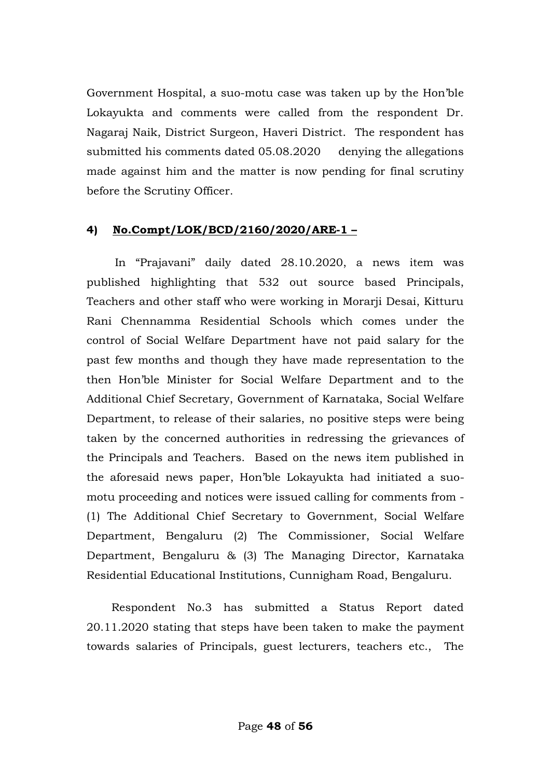Government Hospital, a suo-motu case was taken up by the Hon"ble Lokayukta and comments were called from the respondent Dr. Nagaraj Naik, District Surgeon, Haveri District. The respondent has submitted his comments dated 05.08.2020 denying the allegations made against him and the matter is now pending for final scrutiny before the Scrutiny Officer.

#### **4) No.Compt/LOK/BCD/2160/2020/ARE-1 –**

 In "Prajavani" daily dated 28.10.2020, a news item was published highlighting that 532 out source based Principals, Teachers and other staff who were working in Morarji Desai, Kitturu Rani Chennamma Residential Schools which comes under the control of Social Welfare Department have not paid salary for the past few months and though they have made representation to the then Hon"ble Minister for Social Welfare Department and to the Additional Chief Secretary, Government of Karnataka, Social Welfare Department, to release of their salaries, no positive steps were being taken by the concerned authorities in redressing the grievances of the Principals and Teachers. Based on the news item published in the aforesaid news paper, Hon"ble Lokayukta had initiated a suomotu proceeding and notices were issued calling for comments from - (1) The Additional Chief Secretary to Government, Social Welfare Department, Bengaluru (2) The Commissioner, Social Welfare Department, Bengaluru & (3) The Managing Director, Karnataka Residential Educational Institutions, Cunnigham Road, Bengaluru.

 Respondent No.3 has submitted a Status Report dated 20.11.2020 stating that steps have been taken to make the payment towards salaries of Principals, guest lecturers, teachers etc., The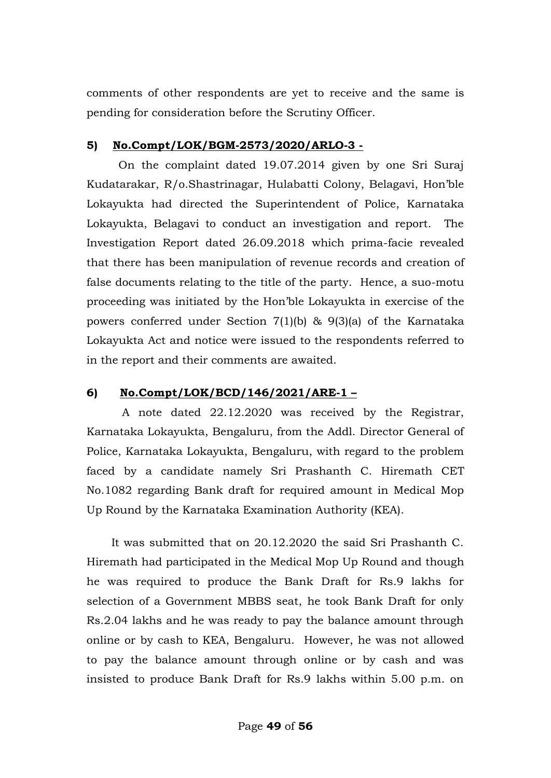comments of other respondents are yet to receive and the same is pending for consideration before the Scrutiny Officer.

### **5) No.Compt/LOK/BGM-2573/2020/ARLO-3 -**

 On the complaint dated 19.07.2014 given by one Sri Suraj Kudatarakar, R/o.Shastrinagar, Hulabatti Colony, Belagavi, Hon"ble Lokayukta had directed the Superintendent of Police, Karnataka Lokayukta, Belagavi to conduct an investigation and report. The Investigation Report dated 26.09.2018 which prima-facie revealed that there has been manipulation of revenue records and creation of false documents relating to the title of the party. Hence, a suo-motu proceeding was initiated by the Hon"ble Lokayukta in exercise of the powers conferred under Section 7(1)(b) & 9(3)(a) of the Karnataka Lokayukta Act and notice were issued to the respondents referred to in the report and their comments are awaited.

## **6) No.Compt/LOK/BCD/146/2021/ARE-1 –**

 A note dated 22.12.2020 was received by the Registrar, Karnataka Lokayukta, Bengaluru, from the Addl. Director General of Police, Karnataka Lokayukta, Bengaluru, with regard to the problem faced by a candidate namely Sri Prashanth C. Hiremath CET No.1082 regarding Bank draft for required amount in Medical Mop Up Round by the Karnataka Examination Authority (KEA).

 It was submitted that on 20.12.2020 the said Sri Prashanth C. Hiremath had participated in the Medical Mop Up Round and though he was required to produce the Bank Draft for Rs.9 lakhs for selection of a Government MBBS seat, he took Bank Draft for only Rs.2.04 lakhs and he was ready to pay the balance amount through online or by cash to KEA, Bengaluru. However, he was not allowed to pay the balance amount through online or by cash and was insisted to produce Bank Draft for Rs.9 lakhs within 5.00 p.m. on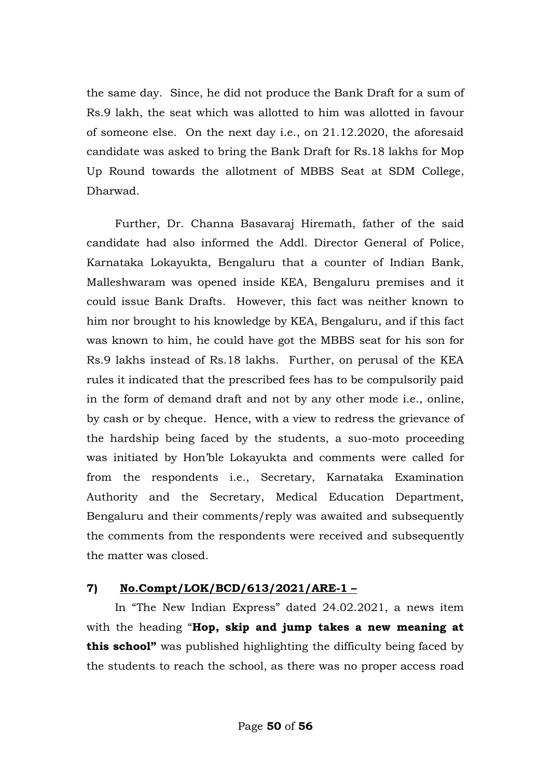the same day. Since, he did not produce the Bank Draft for a sum of Rs.9 lakh, the seat which was allotted to him was allotted in favour of someone else. On the next day i.e., on 21.12.2020, the aforesaid candidate was asked to bring the Bank Draft for Rs.18 lakhs for Mop Up Round towards the allotment of MBBS Seat at SDM College, Dharwad.

 Further, Dr. Channa Basavaraj Hiremath, father of the said candidate had also informed the Addl. Director General of Police, Karnataka Lokayukta, Bengaluru that a counter of Indian Bank, Malleshwaram was opened inside KEA, Bengaluru premises and it could issue Bank Drafts. However, this fact was neither known to him nor brought to his knowledge by KEA, Bengaluru, and if this fact was known to him, he could have got the MBBS seat for his son for Rs.9 lakhs instead of Rs.18 lakhs. Further, on perusal of the KEA rules it indicated that the prescribed fees has to be compulsorily paid in the form of demand draft and not by any other mode i.e., online, by cash or by cheque. Hence, with a view to redress the grievance of the hardship being faced by the students, a suo-moto proceeding was initiated by Hon"ble Lokayukta and comments were called for from the respondents i.e., Secretary, Karnataka Examination Authority and the Secretary, Medical Education Department, Bengaluru and their comments/reply was awaited and subsequently the comments from the respondents were received and subsequently the matter was closed.

## **7) No.Compt/LOK/BCD/613/2021/ARE-1 –**

 In "The New Indian Express" dated 24.02.2021, a news item with the heading "**Hop, skip and jump takes a new meaning at this school"** was published highlighting the difficulty being faced by the students to reach the school, as there was no proper access road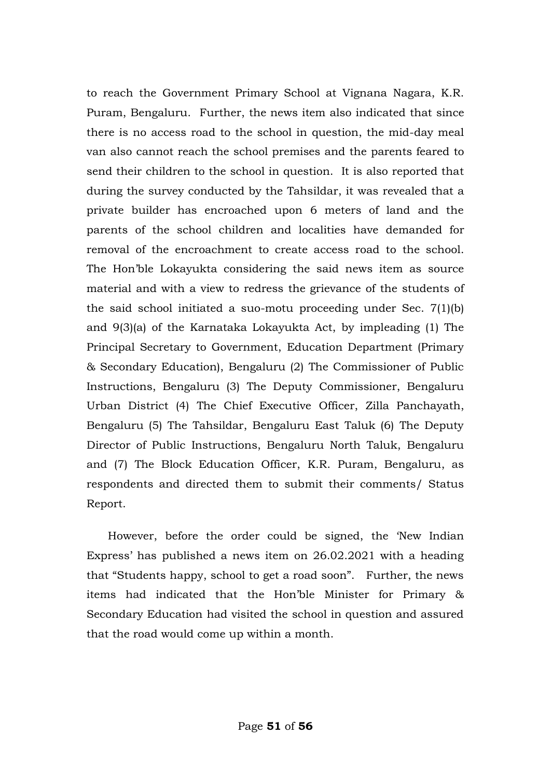to reach the Government Primary School at Vignana Nagara, K.R. Puram, Bengaluru. Further, the news item also indicated that since there is no access road to the school in question, the mid-day meal van also cannot reach the school premises and the parents feared to send their children to the school in question. It is also reported that during the survey conducted by the Tahsildar, it was revealed that a private builder has encroached upon 6 meters of land and the parents of the school children and localities have demanded for removal of the encroachment to create access road to the school. The Hon"ble Lokayukta considering the said news item as source material and with a view to redress the grievance of the students of the said school initiated a suo-motu proceeding under Sec. 7(1)(b) and 9(3)(a) of the Karnataka Lokayukta Act, by impleading (1) The Principal Secretary to Government, Education Department (Primary & Secondary Education), Bengaluru (2) The Commissioner of Public Instructions, Bengaluru (3) The Deputy Commissioner, Bengaluru Urban District (4) The Chief Executive Officer, Zilla Panchayath, Bengaluru (5) The Tahsildar, Bengaluru East Taluk (6) The Deputy Director of Public Instructions, Bengaluru North Taluk, Bengaluru and (7) The Block Education Officer, K.R. Puram, Bengaluru, as respondents and directed them to submit their comments/ Status Report.

 However, before the order could be signed, the "New Indian Express" has published a news item on 26.02.2021 with a heading that "Students happy, school to get a road soon". Further, the news items had indicated that the Hon"ble Minister for Primary & Secondary Education had visited the school in question and assured that the road would come up within a month.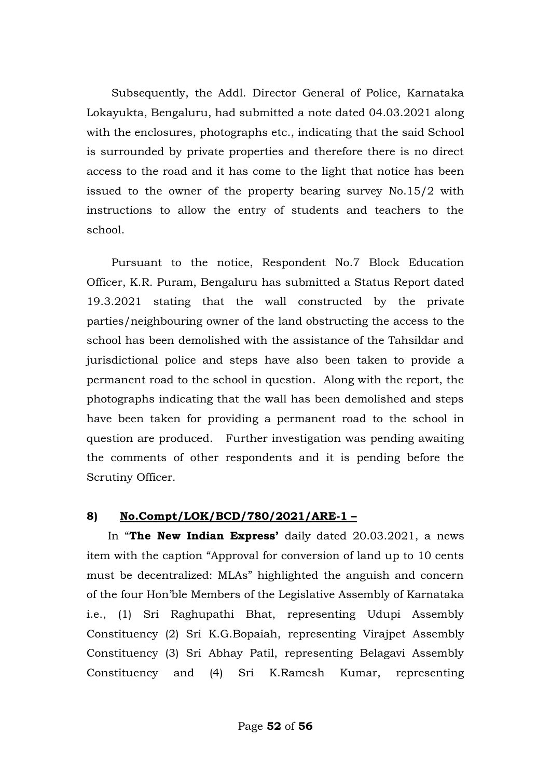Subsequently, the Addl. Director General of Police, Karnataka Lokayukta, Bengaluru, had submitted a note dated 04.03.2021 along with the enclosures, photographs etc., indicating that the said School is surrounded by private properties and therefore there is no direct access to the road and it has come to the light that notice has been issued to the owner of the property bearing survey No.15/2 with instructions to allow the entry of students and teachers to the school.

 Pursuant to the notice, Respondent No.7 Block Education Officer, K.R. Puram, Bengaluru has submitted a Status Report dated 19.3.2021 stating that the wall constructed by the private parties/neighbouring owner of the land obstructing the access to the school has been demolished with the assistance of the Tahsildar and jurisdictional police and steps have also been taken to provide a permanent road to the school in question. Along with the report, the photographs indicating that the wall has been demolished and steps have been taken for providing a permanent road to the school in question are produced. Further investigation was pending awaiting the comments of other respondents and it is pending before the Scrutiny Officer.

#### **8) No.Compt/LOK/BCD/780/2021/ARE-1 –**

 In "**The New Indian Express'** daily dated 20.03.2021, a news item with the caption "Approval for conversion of land up to 10 cents must be decentralized: MLAs" highlighted the anguish and concern of the four Hon"ble Members of the Legislative Assembly of Karnataka i.e., (1) Sri Raghupathi Bhat, representing Udupi Assembly Constituency (2) Sri K.G.Bopaiah, representing Virajpet Assembly Constituency (3) Sri Abhay Patil, representing Belagavi Assembly Constituency and (4) Sri K.Ramesh Kumar, representing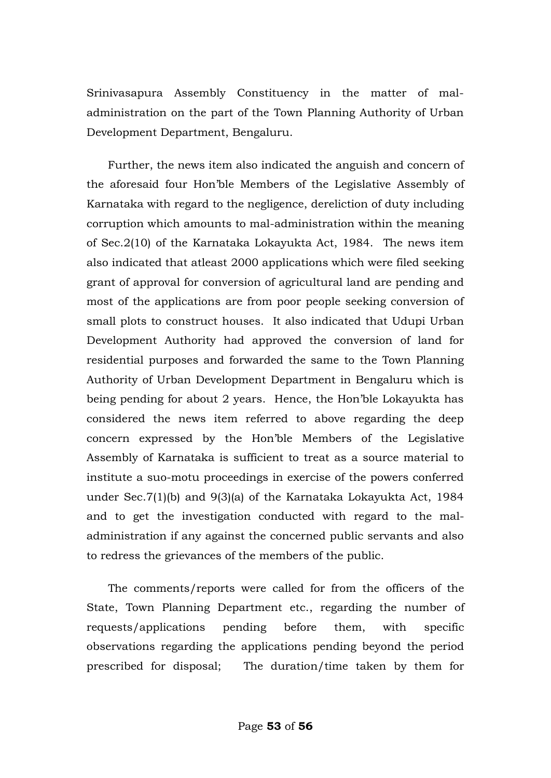Srinivasapura Assembly Constituency in the matter of maladministration on the part of the Town Planning Authority of Urban Development Department, Bengaluru.

 Further, the news item also indicated the anguish and concern of the aforesaid four Hon"ble Members of the Legislative Assembly of Karnataka with regard to the negligence, dereliction of duty including corruption which amounts to mal-administration within the meaning of Sec.2(10) of the Karnataka Lokayukta Act, 1984. The news item also indicated that atleast 2000 applications which were filed seeking grant of approval for conversion of agricultural land are pending and most of the applications are from poor people seeking conversion of small plots to construct houses. It also indicated that Udupi Urban Development Authority had approved the conversion of land for residential purposes and forwarded the same to the Town Planning Authority of Urban Development Department in Bengaluru which is being pending for about 2 years. Hence, the Hon"ble Lokayukta has considered the news item referred to above regarding the deep concern expressed by the Hon"ble Members of the Legislative Assembly of Karnataka is sufficient to treat as a source material to institute a suo-motu proceedings in exercise of the powers conferred under Sec.7(1)(b) and 9(3)(a) of the Karnataka Lokayukta Act, 1984 and to get the investigation conducted with regard to the maladministration if any against the concerned public servants and also to redress the grievances of the members of the public.

 The comments/reports were called for from the officers of the State, Town Planning Department etc., regarding the number of requests/applications pending before them, with specific observations regarding the applications pending beyond the period prescribed for disposal; The duration/time taken by them for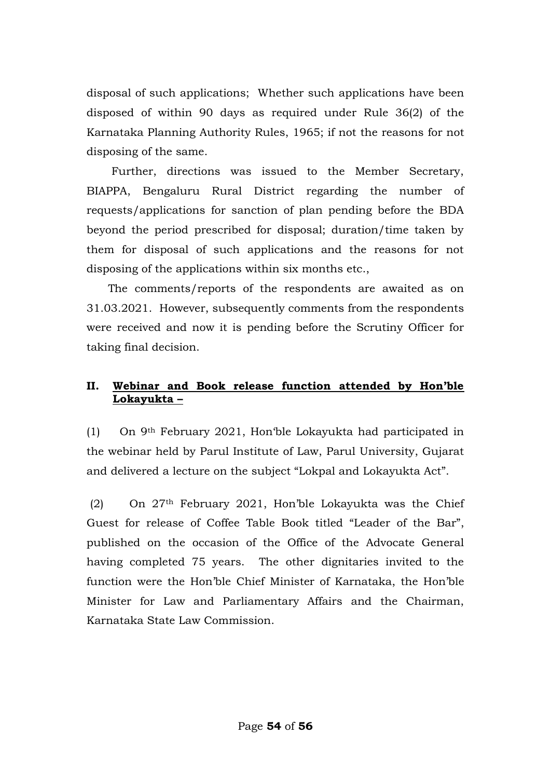disposal of such applications; Whether such applications have been disposed of within 90 days as required under Rule 36(2) of the Karnataka Planning Authority Rules, 1965; if not the reasons for not disposing of the same.

 Further, directions was issued to the Member Secretary, BIAPPA, Bengaluru Rural District regarding the number of requests/applications for sanction of plan pending before the BDA beyond the period prescribed for disposal; duration/time taken by them for disposal of such applications and the reasons for not disposing of the applications within six months etc.,

 The comments/reports of the respondents are awaited as on 31.03.2021. However, subsequently comments from the respondents were received and now it is pending before the Scrutiny Officer for taking final decision.

## **II. Webinar and Book release function attended by Hon'ble Lokayukta –**

(1) On 9th February 2021, Hon"ble Lokayukta had participated in the webinar held by Parul Institute of Law, Parul University, Gujarat and delivered a lecture on the subject "Lokpal and Lokayukta Act".

(2) On 27th February 2021, Hon"ble Lokayukta was the Chief Guest for release of Coffee Table Book titled "Leader of the Bar", published on the occasion of the Office of the Advocate General having completed 75 years. The other dignitaries invited to the function were the Hon"ble Chief Minister of Karnataka, the Hon"ble Minister for Law and Parliamentary Affairs and the Chairman, Karnataka State Law Commission.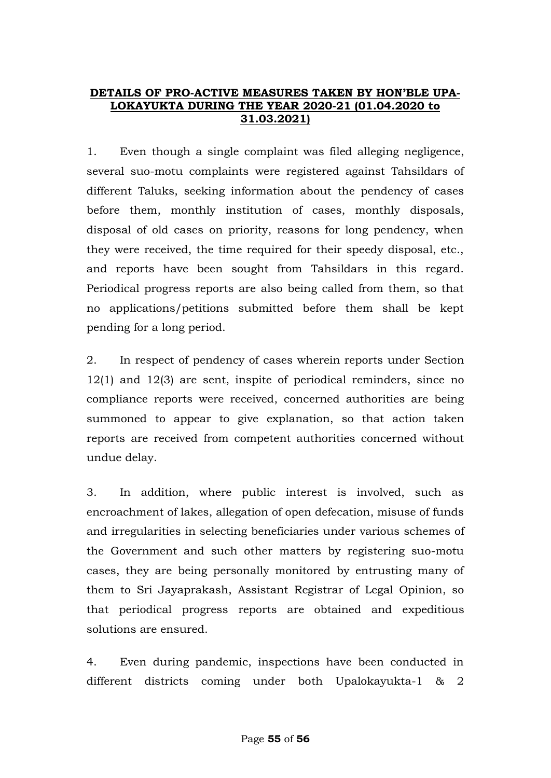#### **DETAILS OF PRO-ACTIVE MEASURES TAKEN BY HON'BLE UPA-LOKAYUKTA DURING THE YEAR 2020-21 (01.04.2020 to 31.03.2021)**

1. Even though a single complaint was filed alleging negligence, several suo-motu complaints were registered against Tahsildars of different Taluks, seeking information about the pendency of cases before them, monthly institution of cases, monthly disposals, disposal of old cases on priority, reasons for long pendency, when they were received, the time required for their speedy disposal, etc., and reports have been sought from Tahsildars in this regard. Periodical progress reports are also being called from them, so that no applications/petitions submitted before them shall be kept pending for a long period.

2. In respect of pendency of cases wherein reports under Section 12(1) and 12(3) are sent, inspite of periodical reminders, since no compliance reports were received, concerned authorities are being summoned to appear to give explanation, so that action taken reports are received from competent authorities concerned without undue delay.

3. In addition, where public interest is involved, such as encroachment of lakes, allegation of open defecation, misuse of funds and irregularities in selecting beneficiaries under various schemes of the Government and such other matters by registering suo-motu cases, they are being personally monitored by entrusting many of them to Sri Jayaprakash, Assistant Registrar of Legal Opinion, so that periodical progress reports are obtained and expeditious solutions are ensured.

4. Even during pandemic, inspections have been conducted in different districts coming under both Upalokayukta-1 & 2